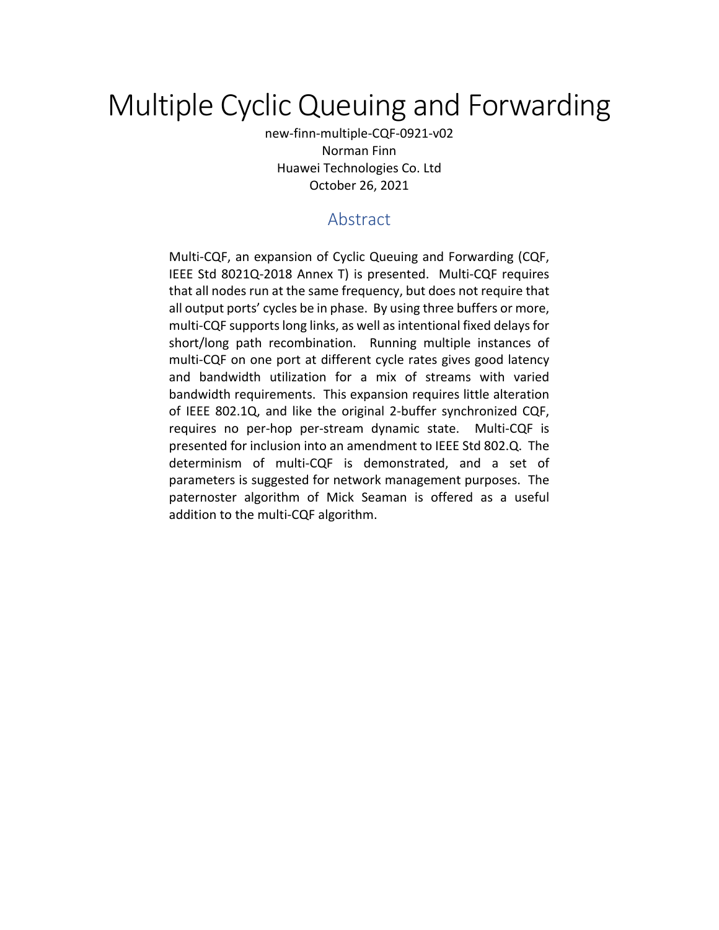# Multiple Cyclic Queuing and Forwarding

new-finn-multiple-CQF-0921-v02 Norman Finn Huawei Technologies Co. Ltd October 26, 2021

# Abstract

Multi-CQF, an expansion of Cyclic Queuing and Forwarding (CQF, IEEE Std 8021Q-2018 Annex T) is presented. Multi-CQF requires that all nodes run at the same frequency, but does not require that all output ports' cycles be in phase. By using three buffers or more, multi-CQF supports long links, as well as intentional fixed delays for short/long path recombination. Running multiple instances of multi-CQF on one port at different cycle rates gives good latency and bandwidth utilization for a mix of streams with varied bandwidth requirements. This expansion requires little alteration of IEEE 802.1Q, and like the original 2-buffer synchronized CQF, requires no per-hop per-stream dynamic state. Multi-CQF is presented for inclusion into an amendment to IEEE Std 802.Q. The determinism of multi-CQF is demonstrated, and a set of parameters is suggested for network management purposes. The paternoster algorithm of Mick Seaman is offered as a useful addition to the multi-CQF algorithm.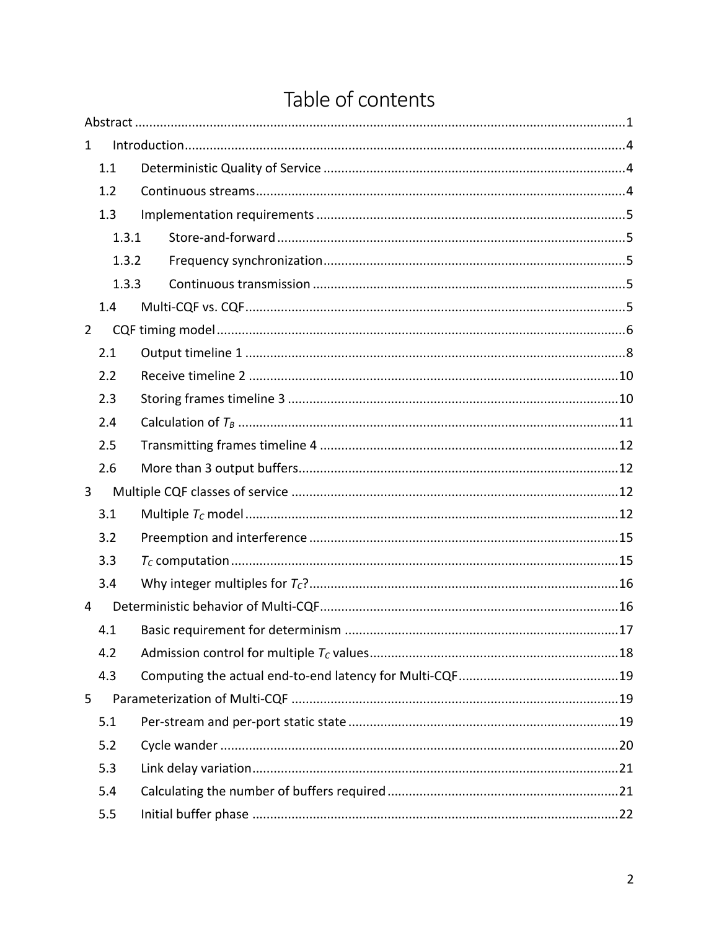|                                               | 1.1   |       |  |  |  |  |  |  |  |  |  |  |  |
|-----------------------------------------------|-------|-------|--|--|--|--|--|--|--|--|--|--|--|
|                                               | 1.2   |       |  |  |  |  |  |  |  |  |  |  |  |
|                                               | 1.3   |       |  |  |  |  |  |  |  |  |  |  |  |
|                                               |       | 1.3.1 |  |  |  |  |  |  |  |  |  |  |  |
|                                               |       | 1.3.2 |  |  |  |  |  |  |  |  |  |  |  |
|                                               | 1.3.3 |       |  |  |  |  |  |  |  |  |  |  |  |
|                                               | 1.4   |       |  |  |  |  |  |  |  |  |  |  |  |
|                                               |       |       |  |  |  |  |  |  |  |  |  |  |  |
|                                               | 2.1   |       |  |  |  |  |  |  |  |  |  |  |  |
|                                               | 2.2   |       |  |  |  |  |  |  |  |  |  |  |  |
|                                               | 2.3   |       |  |  |  |  |  |  |  |  |  |  |  |
|                                               | 2.4   |       |  |  |  |  |  |  |  |  |  |  |  |
|                                               | 2.5   |       |  |  |  |  |  |  |  |  |  |  |  |
|                                               | 2.6   |       |  |  |  |  |  |  |  |  |  |  |  |
|                                               |       |       |  |  |  |  |  |  |  |  |  |  |  |
| $\mathbf{1}$<br>$\overline{2}$<br>3<br>4<br>5 | 3.1   |       |  |  |  |  |  |  |  |  |  |  |  |
|                                               | 3.2   |       |  |  |  |  |  |  |  |  |  |  |  |
|                                               | 3.3   |       |  |  |  |  |  |  |  |  |  |  |  |
|                                               | 3.4   |       |  |  |  |  |  |  |  |  |  |  |  |
|                                               |       |       |  |  |  |  |  |  |  |  |  |  |  |
|                                               | 4.1   |       |  |  |  |  |  |  |  |  |  |  |  |
|                                               | 4.2   |       |  |  |  |  |  |  |  |  |  |  |  |
|                                               | 4.3   |       |  |  |  |  |  |  |  |  |  |  |  |
|                                               |       |       |  |  |  |  |  |  |  |  |  |  |  |
|                                               | 5.1   |       |  |  |  |  |  |  |  |  |  |  |  |
|                                               | 5.2   |       |  |  |  |  |  |  |  |  |  |  |  |
|                                               | 5.3   |       |  |  |  |  |  |  |  |  |  |  |  |
|                                               | 5.4   |       |  |  |  |  |  |  |  |  |  |  |  |
|                                               | 5.5   |       |  |  |  |  |  |  |  |  |  |  |  |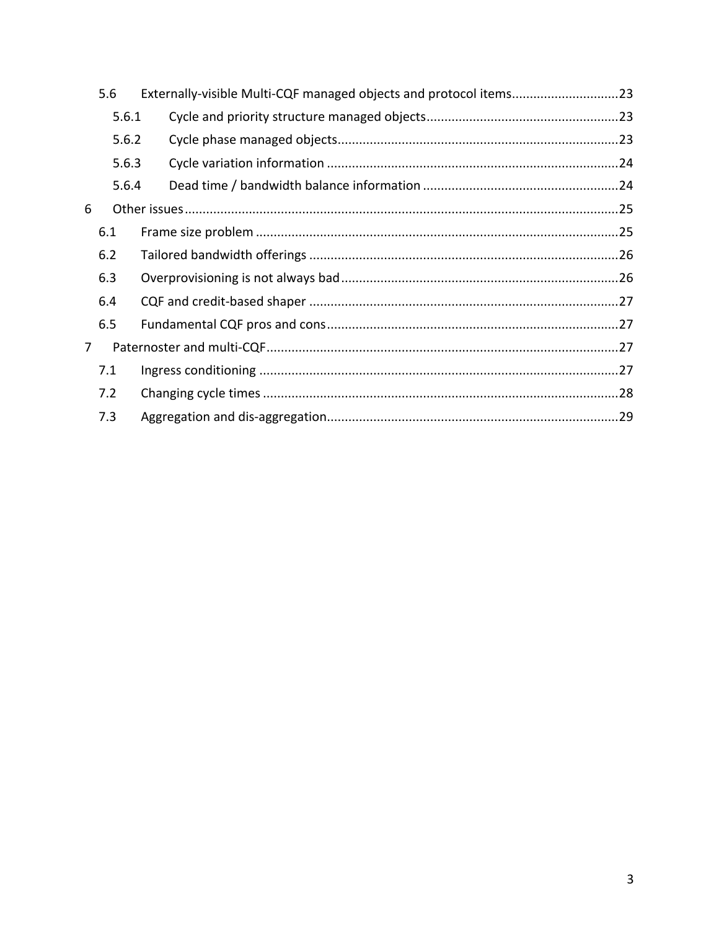|                | 5.6   | Externally-visible Multi-CQF managed objects and protocol items23 |  |  |  |  |  |  |  |
|----------------|-------|-------------------------------------------------------------------|--|--|--|--|--|--|--|
|                | 5.6.1 |                                                                   |  |  |  |  |  |  |  |
|                | 5.6.2 |                                                                   |  |  |  |  |  |  |  |
|                | 5.6.3 |                                                                   |  |  |  |  |  |  |  |
|                | 5.6.4 |                                                                   |  |  |  |  |  |  |  |
| 6              |       |                                                                   |  |  |  |  |  |  |  |
|                | 6.1   |                                                                   |  |  |  |  |  |  |  |
|                | 6.2   |                                                                   |  |  |  |  |  |  |  |
|                | 6.3   |                                                                   |  |  |  |  |  |  |  |
|                | 6.4   |                                                                   |  |  |  |  |  |  |  |
|                | 6.5   |                                                                   |  |  |  |  |  |  |  |
| $\overline{7}$ |       |                                                                   |  |  |  |  |  |  |  |
|                | 7.1   |                                                                   |  |  |  |  |  |  |  |
|                | 7.2   |                                                                   |  |  |  |  |  |  |  |
|                | 7.3   |                                                                   |  |  |  |  |  |  |  |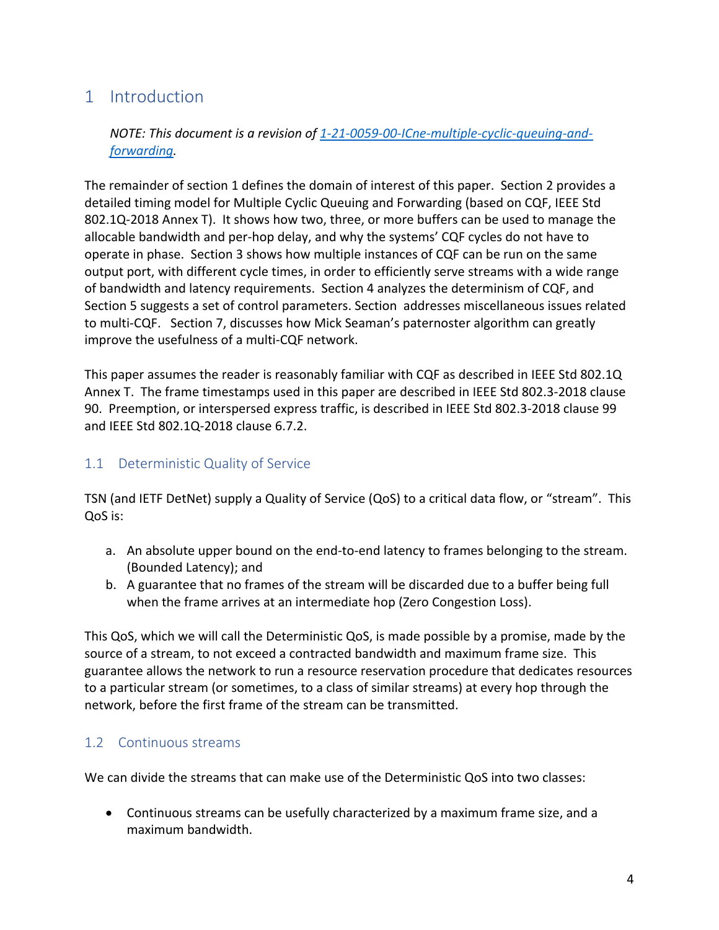# 1 Introduction

*NOTE: This document is a revision of 1-21-0059-00-ICne-multiple-cyclic-queuing-andforwarding.*

The remainder of section 1 defines the domain of interest of this paper. Section 2 provides a detailed timing model for Multiple Cyclic Queuing and Forwarding (based on CQF, IEEE Std 802.1Q-2018 Annex T). It shows how two, three, or more buffers can be used to manage the allocable bandwidth and per-hop delay, and why the systems' CQF cycles do not have to operate in phase. Section 3 shows how multiple instances of CQF can be run on the same output port, with different cycle times, in order to efficiently serve streams with a wide range of bandwidth and latency requirements. Section 4 analyzes the determinism of CQF, and Section 5 suggests a set of control parameters. Section addresses miscellaneous issues related to multi-CQF. Section 7, discusses how Mick Seaman's paternoster algorithm can greatly improve the usefulness of a multi-CQF network.

This paper assumes the reader is reasonably familiar with CQF as described in IEEE Std 802.1Q Annex T. The frame timestamps used in this paper are described in IEEE Std 802.3-2018 clause 90. Preemption, or interspersed express traffic, is described in IEEE Std 802.3-2018 clause 99 and IEEE Std 802.1Q-2018 clause 6.7.2.

### 1.1 Deterministic Quality of Service

TSN (and IETF DetNet) supply a Quality of Service (QoS) to a critical data flow, or "stream". This QoS is:

- a. An absolute upper bound on the end-to-end latency to frames belonging to the stream. (Bounded Latency); and
- b. A guarantee that no frames of the stream will be discarded due to a buffer being full when the frame arrives at an intermediate hop (Zero Congestion Loss).

This QoS, which we will call the Deterministic QoS, is made possible by a promise, made by the source of a stream, to not exceed a contracted bandwidth and maximum frame size. This guarantee allows the network to run a resource reservation procedure that dedicates resources to a particular stream (or sometimes, to a class of similar streams) at every hop through the network, before the first frame of the stream can be transmitted.

### 1.2 Continuous streams

We can divide the streams that can make use of the Deterministic QoS into two classes:

• Continuous streams can be usefully characterized by a maximum frame size, and a maximum bandwidth.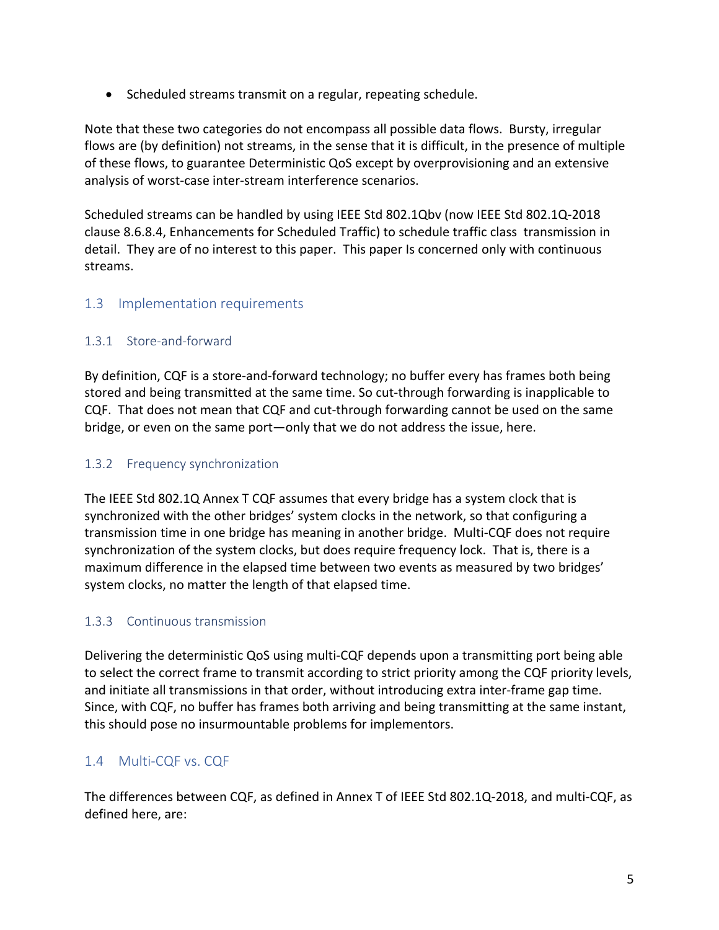• Scheduled streams transmit on a regular, repeating schedule.

Note that these two categories do not encompass all possible data flows. Bursty, irregular flows are (by definition) not streams, in the sense that it is difficult, in the presence of multiple of these flows, to guarantee Deterministic QoS except by overprovisioning and an extensive analysis of worst-case inter-stream interference scenarios.

Scheduled streams can be handled by using IEEE Std 802.1Qbv (now IEEE Std 802.1Q-2018 clause 8.6.8.4, Enhancements for Scheduled Traffic) to schedule traffic class transmission in detail. They are of no interest to this paper. This paper Is concerned only with continuous streams.

### 1.3 Implementation requirements

#### 1.3.1 Store-and-forward

By definition, CQF is a store-and-forward technology; no buffer every has frames both being stored and being transmitted at the same time. So cut-through forwarding is inapplicable to CQF. That does not mean that CQF and cut-through forwarding cannot be used on the same bridge, or even on the same port—only that we do not address the issue, here.

#### 1.3.2 Frequency synchronization

The IEEE Std 802.1Q Annex T CQF assumes that every bridge has a system clock that is synchronized with the other bridges' system clocks in the network, so that configuring a transmission time in one bridge has meaning in another bridge. Multi-CQF does not require synchronization of the system clocks, but does require frequency lock. That is, there is a maximum difference in the elapsed time between two events as measured by two bridges' system clocks, no matter the length of that elapsed time.

### 1.3.3 Continuous transmission

Delivering the deterministic QoS using multi-CQF depends upon a transmitting port being able to select the correct frame to transmit according to strict priority among the CQF priority levels, and initiate all transmissions in that order, without introducing extra inter-frame gap time. Since, with CQF, no buffer has frames both arriving and being transmitting at the same instant, this should pose no insurmountable problems for implementors.

### 1.4 Multi-CQF vs. CQF

The differences between CQF, as defined in Annex T of IEEE Std 802.1Q-2018, and multi-CQF, as defined here, are: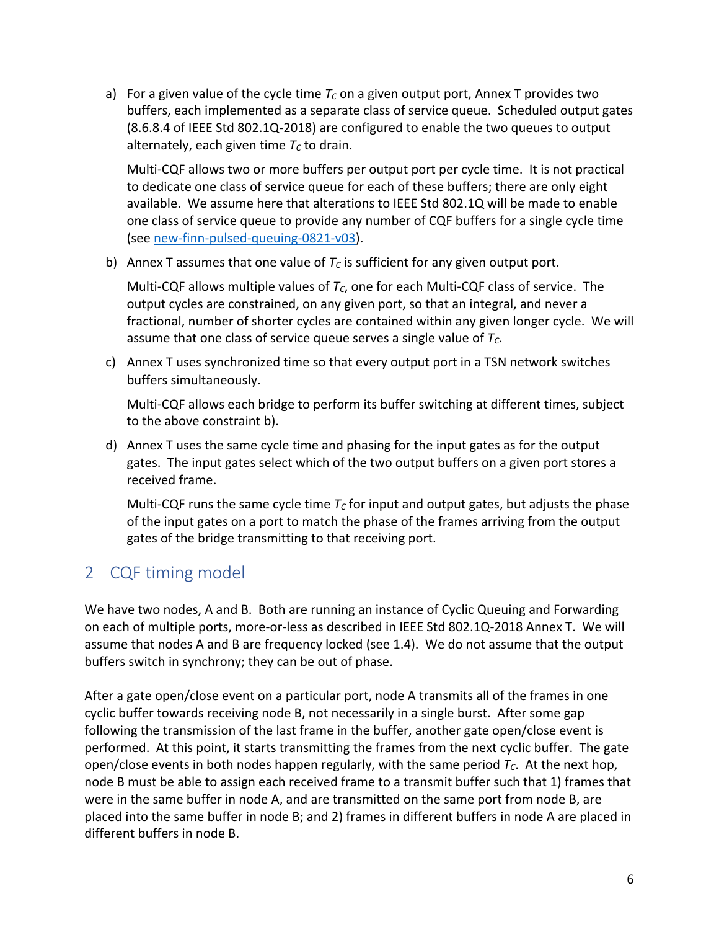a) For a given value of the cycle time  $T_c$  on a given output port, Annex T provides two buffers, each implemented as a separate class of service queue. Scheduled output gates (8.6.8.4 of IEEE Std 802.1Q-2018) are configured to enable the two queues to output alternately, each given time  $T_c$  to drain.

Multi-CQF allows two or more buffers per output port per cycle time. It is not practical to dedicate one class of service queue for each of these buffers; there are only eight available. We assume here that alterations to IEEE Std 802.1Q will be made to enable one class of service queue to provide any number of CQF buffers for a single cycle time (see new-finn-pulsed-queuing-0821-v03).

b) Annex T assumes that one value of  $T_c$  is sufficient for any given output port.

Multi-CQF allows multiple values of  $T_c$ , one for each Multi-CQF class of service. The output cycles are constrained, on any given port, so that an integral, and never a fractional, number of shorter cycles are contained within any given longer cycle. We will assume that one class of service queue serves a single value of *TC*.

c) Annex T uses synchronized time so that every output port in a TSN network switches buffers simultaneously.

Multi-CQF allows each bridge to perform its buffer switching at different times, subject to the above constraint b).

d) Annex T uses the same cycle time and phasing for the input gates as for the output gates. The input gates select which of the two output buffers on a given port stores a received frame.

Multi-CQF runs the same cycle time  $T_c$  for input and output gates, but adjusts the phase of the input gates on a port to match the phase of the frames arriving from the output gates of the bridge transmitting to that receiving port.

# 2 CQF timing model

We have two nodes, A and B. Both are running an instance of Cyclic Queuing and Forwarding on each of multiple ports, more-or-less as described in IEEE Std 802.1Q-2018 Annex T. We will assume that nodes A and B are frequency locked (see 1.4). We do not assume that the output buffers switch in synchrony; they can be out of phase.

After a gate open/close event on a particular port, node A transmits all of the frames in one cyclic buffer towards receiving node B, not necessarily in a single burst. After some gap following the transmission of the last frame in the buffer, another gate open/close event is performed. At this point, it starts transmitting the frames from the next cyclic buffer. The gate open/close events in both nodes happen regularly, with the same period  $T_c$ . At the next hop, node B must be able to assign each received frame to a transmit buffer such that 1) frames that were in the same buffer in node A, and are transmitted on the same port from node B, are placed into the same buffer in node B; and 2) frames in different buffers in node A are placed in different buffers in node B.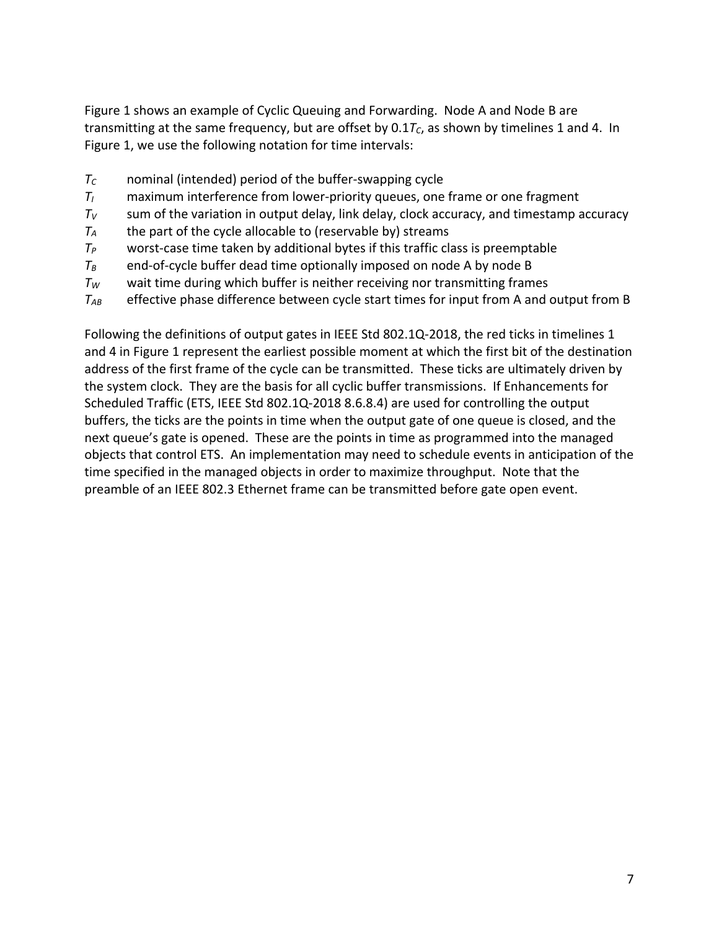Figure 1 shows an example of Cyclic Queuing and Forwarding. Node A and Node B are transmitting at the same frequency, but are offset by  $0.1T_c$ , as shown by timelines 1 and 4. In Figure 1, we use the following notation for time intervals:

- *TC* nominal (intended) period of the buffer-swapping cycle
- *TI* maximum interference from lower-priority queues, one frame or one fragment
- $T_V$  sum of the variation in output delay, link delay, clock accuracy, and timestamp accuracy
- $T_A$  the part of the cycle allocable to (reservable by) streams
- *TP* worst-case time taken by additional bytes if this traffic class is preemptable
- $T_B$  end-of-cycle buffer dead time optionally imposed on node A by node B
- *TW* wait time during which buffer is neither receiving nor transmitting frames
- *TAB* effective phase difference between cycle start times for input from A and output from B

Following the definitions of output gates in IEEE Std 802.1Q-2018, the red ticks in timelines 1 and 4 in Figure 1 represent the earliest possible moment at which the first bit of the destination address of the first frame of the cycle can be transmitted. These ticks are ultimately driven by the system clock. They are the basis for all cyclic buffer transmissions. If Enhancements for Scheduled Traffic (ETS, IEEE Std 802.1Q-2018 8.6.8.4) are used for controlling the output buffers, the ticks are the points in time when the output gate of one queue is closed, and the next queue's gate is opened. These are the points in time as programmed into the managed objects that control ETS. An implementation may need to schedule events in anticipation of the time specified in the managed objects in order to maximize throughput. Note that the preamble of an IEEE 802.3 Ethernet frame can be transmitted before gate open event.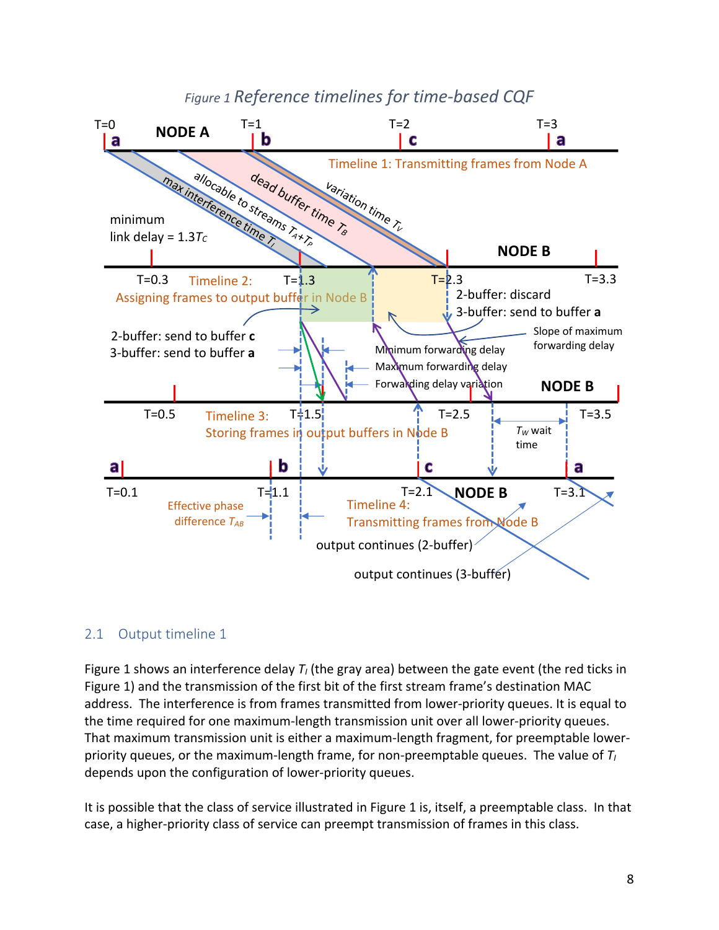# *Figure 1 Reference timelines for time-based CQF*



### 2.1 Output timeline 1

Figure 1 shows an interference delay  $T<sub>I</sub>$  (the gray area) between the gate event (the red ticks in Figure 1) and the transmission of the first bit of the first stream frame's destination MAC address. The interference is from frames transmitted from lower-priority queues. It is equal to the time required for one maximum-length transmission unit over all lower-priority queues. That maximum transmission unit is either a maximum-length fragment, for preemptable lowerpriority queues, or the maximum-length frame, for non-preemptable queues. The value of *TI* depends upon the configuration of lower-priority queues.

It is possible that the class of service illustrated in Figure 1 is, itself, a preemptable class. In that case, a higher-priority class of service can preempt transmission of frames in this class.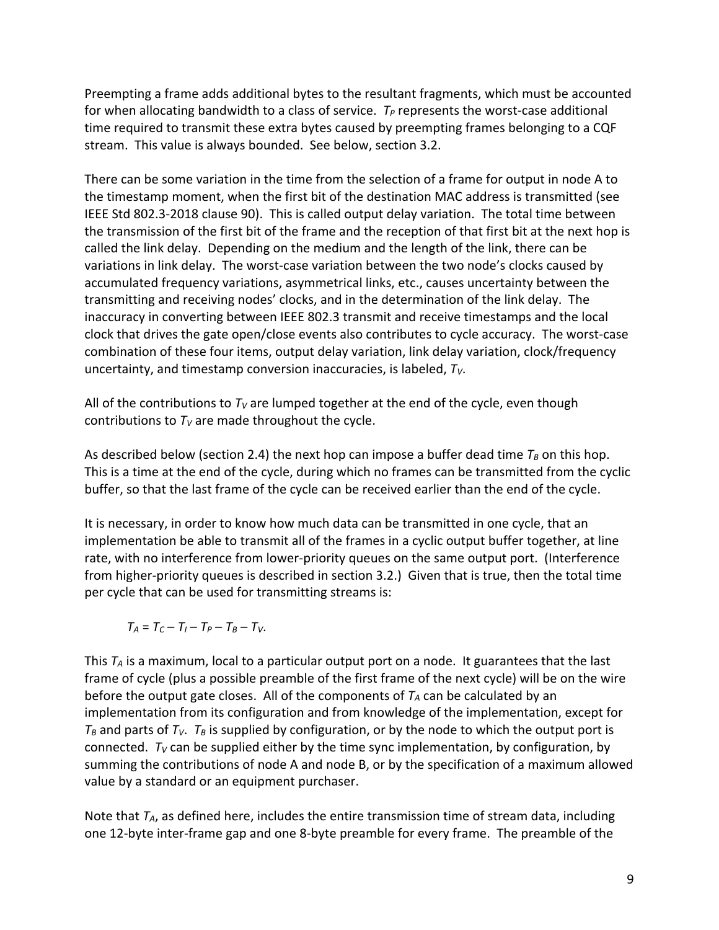Preempting a frame adds additional bytes to the resultant fragments, which must be accounted for when allocating bandwidth to a class of service.  $T_P$  represents the worst-case additional time required to transmit these extra bytes caused by preempting frames belonging to a CQF stream. This value is always bounded. See below, section 3.2.

There can be some variation in the time from the selection of a frame for output in node A to the timestamp moment, when the first bit of the destination MAC address is transmitted (see IEEE Std 802.3-2018 clause 90). This is called output delay variation. The total time between the transmission of the first bit of the frame and the reception of that first bit at the next hop is called the link delay. Depending on the medium and the length of the link, there can be variations in link delay. The worst-case variation between the two node's clocks caused by accumulated frequency variations, asymmetrical links, etc., causes uncertainty between the transmitting and receiving nodes' clocks, and in the determination of the link delay. The inaccuracy in converting between IEEE 802.3 transmit and receive timestamps and the local clock that drives the gate open/close events also contributes to cycle accuracy. The worst-case combination of these four items, output delay variation, link delay variation, clock/frequency uncertainty, and timestamp conversion inaccuracies, is labeled,  $T_v$ .

All of the contributions to  $T_V$  are lumped together at the end of the cycle, even though contributions to  $T_V$  are made throughout the cycle.

As described below (section 2.4) the next hop can impose a buffer dead time  $T_B$  on this hop. This is a time at the end of the cycle, during which no frames can be transmitted from the cyclic buffer, so that the last frame of the cycle can be received earlier than the end of the cycle.

It is necessary, in order to know how much data can be transmitted in one cycle, that an implementation be able to transmit all of the frames in a cyclic output buffer together, at line rate, with no interference from lower-priority queues on the same output port. (Interference from higher-priority queues is described in section 3.2.) Given that is true, then the total time per cycle that can be used for transmitting streams is:

 $T_A = T_C - T_I - T_P - T_B - T_V$ .

This *TA* is a maximum, local to a particular output port on a node. It guarantees that the last frame of cycle (plus a possible preamble of the first frame of the next cycle) will be on the wire before the output gate closes. All of the components of  $T_A$  can be calculated by an implementation from its configuration and from knowledge of the implementation, except for  $T_B$  and parts of  $T_V$ .  $T_B$  is supplied by configuration, or by the node to which the output port is connected.  $T_V$  can be supplied either by the time sync implementation, by configuration, by summing the contributions of node A and node B, or by the specification of a maximum allowed value by a standard or an equipment purchaser.

Note that *TA*, as defined here, includes the entire transmission time of stream data, including one 12-byte inter-frame gap and one 8-byte preamble for every frame. The preamble of the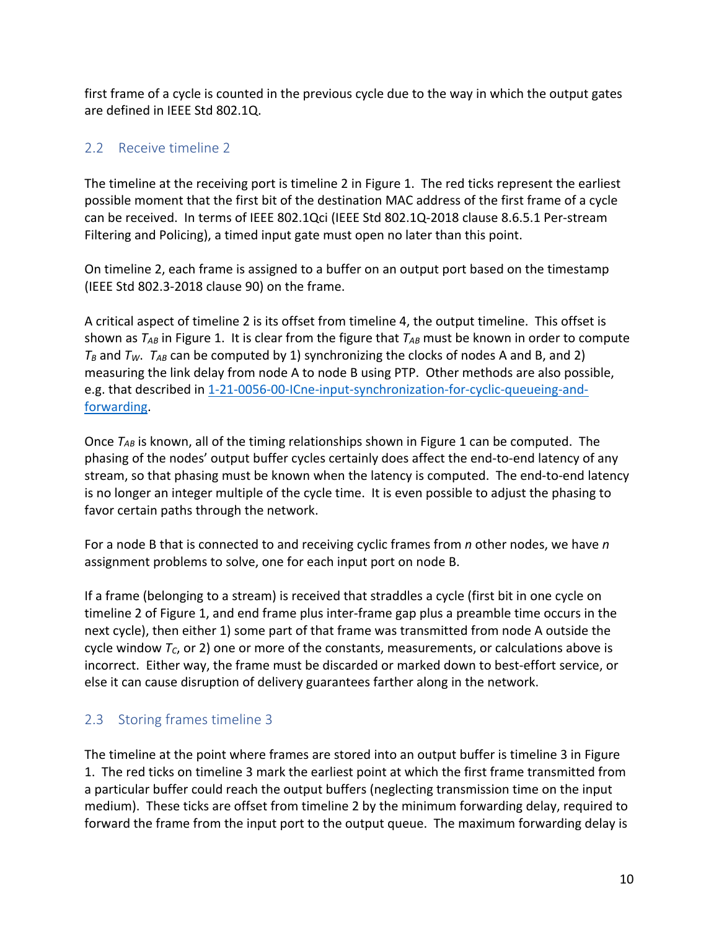first frame of a cycle is counted in the previous cycle due to the way in which the output gates are defined in IEEE Std 802.1Q.

# 2.2 Receive timeline 2

The timeline at the receiving port is timeline 2 in Figure 1. The red ticks represent the earliest possible moment that the first bit of the destination MAC address of the first frame of a cycle can be received. In terms of IEEE 802.1Qci (IEEE Std 802.1Q-2018 clause 8.6.5.1 Per-stream Filtering and Policing), a timed input gate must open no later than this point.

On timeline 2, each frame is assigned to a buffer on an output port based on the timestamp (IEEE Std 802.3-2018 clause 90) on the frame.

A critical aspect of timeline 2 is its offset from timeline 4, the output timeline. This offset is shown as  $T_{AB}$  in Figure 1. It is clear from the figure that  $T_{AB}$  must be known in order to compute  $T_B$  and  $T_W$ .  $T_{AB}$  can be computed by 1) synchronizing the clocks of nodes A and B, and 2) measuring the link delay from node A to node B using PTP. Other methods are also possible, e.g. that described in 1-21-0056-00-ICne-input-synchronization-for-cyclic-queueing-andforwarding.

Once  $T_{AB}$  is known, all of the timing relationships shown in Figure 1 can be computed. The phasing of the nodes' output buffer cycles certainly does affect the end-to-end latency of any stream, so that phasing must be known when the latency is computed. The end-to-end latency is no longer an integer multiple of the cycle time. It is even possible to adjust the phasing to favor certain paths through the network.

For a node B that is connected to and receiving cyclic frames from *n* other nodes, we have *n* assignment problems to solve, one for each input port on node B.

If a frame (belonging to a stream) is received that straddles a cycle (first bit in one cycle on timeline 2 of Figure 1, and end frame plus inter-frame gap plus a preamble time occurs in the next cycle), then either 1) some part of that frame was transmitted from node A outside the cycle window  $T_c$ , or 2) one or more of the constants, measurements, or calculations above is incorrect. Either way, the frame must be discarded or marked down to best-effort service, or else it can cause disruption of delivery guarantees farther along in the network.

### 2.3 Storing frames timeline 3

The timeline at the point where frames are stored into an output buffer is timeline 3 in Figure 1. The red ticks on timeline 3 mark the earliest point at which the first frame transmitted from a particular buffer could reach the output buffers (neglecting transmission time on the input medium). These ticks are offset from timeline 2 by the minimum forwarding delay, required to forward the frame from the input port to the output queue. The maximum forwarding delay is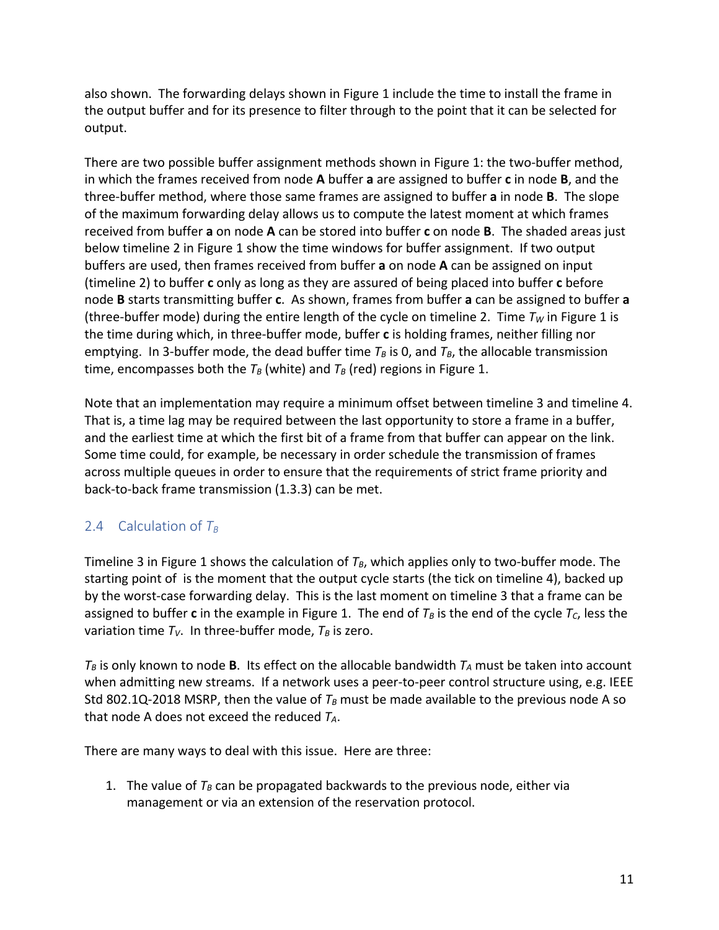also shown. The forwarding delays shown in Figure 1 include the time to install the frame in the output buffer and for its presence to filter through to the point that it can be selected for output.

There are two possible buffer assignment methods shown in Figure 1: the two-buffer method, in which the frames received from node **A** buffer **a** are assigned to buffer **c** in node **B**, and the three-buffer method, where those same frames are assigned to buffer **a** in node **B**. The slope of the maximum forwarding delay allows us to compute the latest moment at which frames received from buffer **a** on node **A** can be stored into buffer **c** on node **B**. The shaded areas just below timeline 2 in Figure 1 show the time windows for buffer assignment. If two output buffers are used, then frames received from buffer **a** on node **A** can be assigned on input (timeline 2) to buffer **c** only as long as they are assured of being placed into buffer **c** before node **B** starts transmitting buffer **c**. As shown, frames from buffer **a** can be assigned to buffer **a** (three-buffer mode) during the entire length of the cycle on timeline 2. Time  $T_W$  in Figure 1 is the time during which, in three-buffer mode, buffer **c** is holding frames, neither filling nor emptying. In 3-buffer mode, the dead buffer time  $T_B$  is 0, and  $T_B$ , the allocable transmission time, encompasses both the  $T_B$  (white) and  $T_B$  (red) regions in Figure 1.

Note that an implementation may require a minimum offset between timeline 3 and timeline 4. That is, a time lag may be required between the last opportunity to store a frame in a buffer, and the earliest time at which the first bit of a frame from that buffer can appear on the link. Some time could, for example, be necessary in order schedule the transmission of frames across multiple queues in order to ensure that the requirements of strict frame priority and back-to-back frame transmission (1.3.3) can be met.

# 2.4 Calculation of  $T_B$

Timeline 3 in Figure 1 shows the calculation of  $T_B$ , which applies only to two-buffer mode. The starting point of is the moment that the output cycle starts (the tick on timeline 4), backed up by the worst-case forwarding delay. This is the last moment on timeline 3 that a frame can be assigned to buffer c in the example in Figure 1. The end of  $T_B$  is the end of the cycle  $T_C$ , less the variation time  $T_V$ . In three-buffer mode,  $T_B$  is zero.

 $T_B$  is only known to node **B**. Its effect on the allocable bandwidth  $T_A$  must be taken into account when admitting new streams. If a network uses a peer-to-peer control structure using, e.g. IEEE Std 802.1Q-2018 MSRP, then the value of  $T_B$  must be made available to the previous node A so that node A does not exceed the reduced *TA*.

There are many ways to deal with this issue. Here are three:

1. The value of  $T_B$  can be propagated backwards to the previous node, either via management or via an extension of the reservation protocol.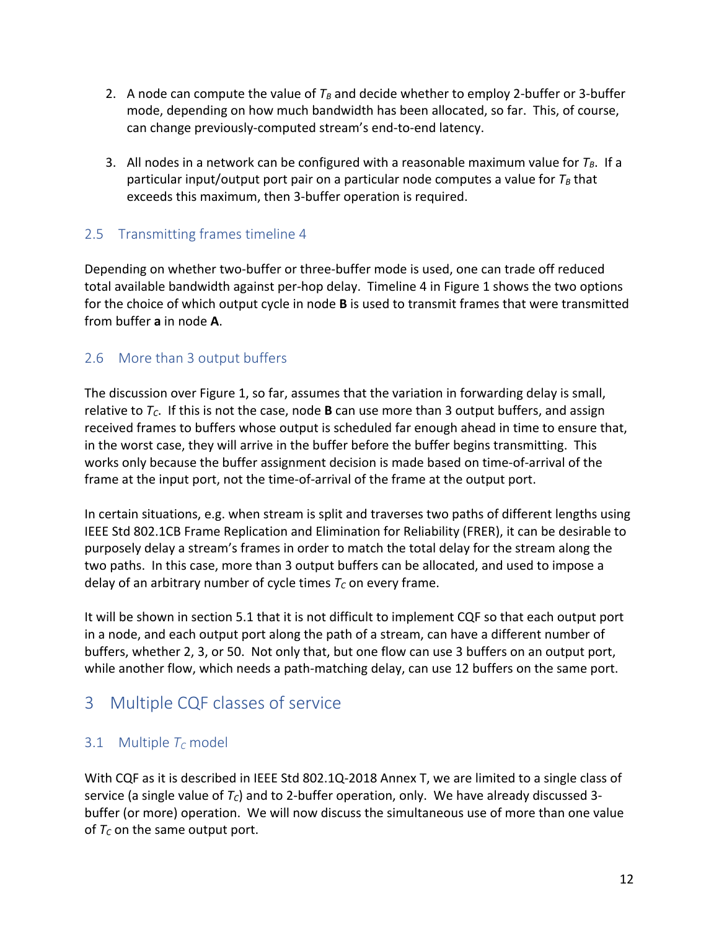- 2. A node can compute the value of  $T_B$  and decide whether to employ 2-buffer or 3-buffer mode, depending on how much bandwidth has been allocated, so far. This, of course, can change previously-computed stream's end-to-end latency.
- 3. All nodes in a network can be configured with a reasonable maximum value for  $T_B$ . If a particular input/output port pair on a particular node computes a value for  $T_B$  that exceeds this maximum, then 3-buffer operation is required.

### 2.5 Transmitting frames timeline 4

Depending on whether two-buffer or three-buffer mode is used, one can trade off reduced total available bandwidth against per-hop delay. Timeline 4 in Figure 1 shows the two options for the choice of which output cycle in node **B** is used to transmit frames that were transmitted from buffer **a** in node **A**.

# 2.6 More than 3 output buffers

The discussion over Figure 1, so far, assumes that the variation in forwarding delay is small, relative to *TC*. If this is not the case, node **B** can use more than 3 output buffers, and assign received frames to buffers whose output is scheduled far enough ahead in time to ensure that, in the worst case, they will arrive in the buffer before the buffer begins transmitting. This works only because the buffer assignment decision is made based on time-of-arrival of the frame at the input port, not the time-of-arrival of the frame at the output port.

In certain situations, e.g. when stream is split and traverses two paths of different lengths using IEEE Std 802.1CB Frame Replication and Elimination for Reliability (FRER), it can be desirable to purposely delay a stream's frames in order to match the total delay for the stream along the two paths. In this case, more than 3 output buffers can be allocated, and used to impose a delay of an arbitrary number of cycle times  $T_c$  on every frame.

It will be shown in section 5.1 that it is not difficult to implement CQF so that each output port in a node, and each output port along the path of a stream, can have a different number of buffers, whether 2, 3, or 50. Not only that, but one flow can use 3 buffers on an output port, while another flow, which needs a path-matching delay, can use 12 buffers on the same port.

# 3 Multiple CQF classes of service

# 3.1 Multiple  $T_c$  model

With CQF as it is described in IEEE Std 802.1Q-2018 Annex T, we are limited to a single class of service (a single value of  $T_c$ ) and to 2-buffer operation, only. We have already discussed 3buffer (or more) operation. We will now discuss the simultaneous use of more than one value of  $T_c$  on the same output port.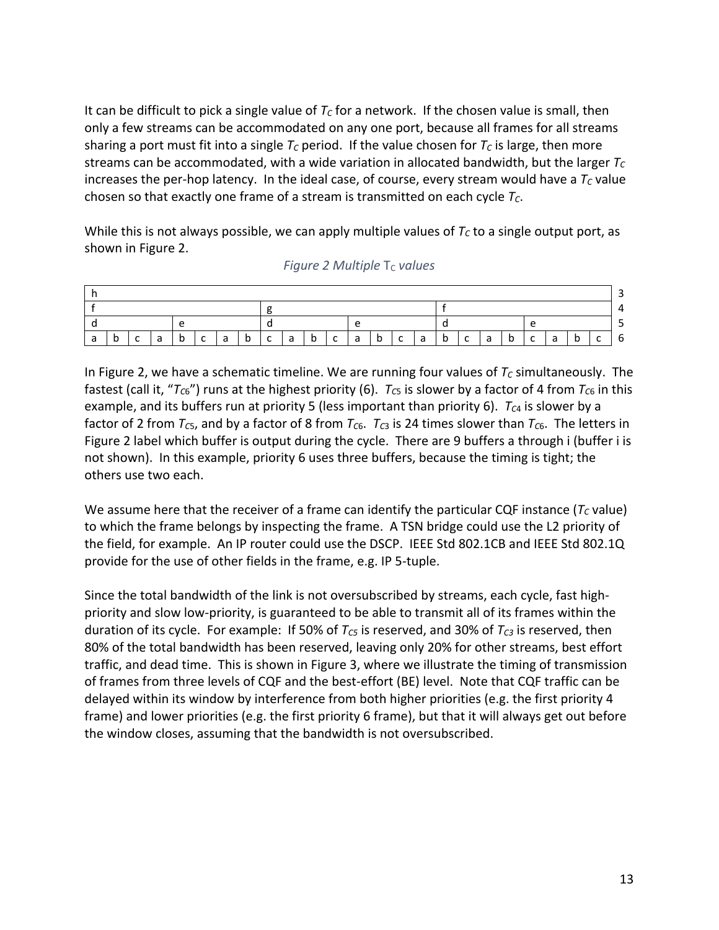It can be difficult to pick a single value of  $T_c$  for a network. If the chosen value is small, then only a few streams can be accommodated on any one port, because all frames for all streams sharing a port must fit into a single  $T_c$  period. If the value chosen for  $T_c$  is large, then more streams can be accommodated, with a wide variation in allocated bandwidth, but the larger *T<sub>C</sub>* increases the per-hop latency. In the ideal case, of course, every stream would have a  $T_c$  value chosen so that exactly one frame of a stream is transmitted on each cycle  $T_c$ .

While this is not always possible, we can apply multiple values of  $T<sub>C</sub>$  to a single output port, as shown in Figure 2.

| l a | b | Ica |  | b | $\lfloor C \rfloor$ |  |  |  | a b c a b c a |  |  |  |  | b c a |  | b c |  | l a | l b | $\overline{C}$ | a | b | C | $\vert 6$ |
|-----|---|-----|--|---|---------------------|--|--|--|---------------|--|--|--|--|-------|--|-----|--|-----|-----|----------------|---|---|---|-----------|

*Figure 2 Multiple*  $T_c$  *values* 

In Figure 2, we have a schematic timeline. We are running four values of  $T_c$  simultaneously. The fastest (call it, " $T_{C6}$ ") runs at the highest priority (6).  $T_{C5}$  is slower by a factor of 4 from  $T_{C6}$  in this example, and its buffers run at priority 5 (less important than priority 6).  $T_{C4}$  is slower by a factor of 2 from  $T_{CS}$ , and by a factor of 8 from  $T_{C6}$ .  $T_{C3}$  is 24 times slower than  $T_{C6}$ . The letters in Figure 2 label which buffer is output during the cycle. There are 9 buffers a through i (buffer i is not shown). In this example, priority 6 uses three buffers, because the timing is tight; the others use two each.

We assume here that the receiver of a frame can identify the particular CQF instance  $(T<sub>C</sub>$  value) to which the frame belongs by inspecting the frame. A TSN bridge could use the L2 priority of the field, for example. An IP router could use the DSCP. IEEE Std 802.1CB and IEEE Std 802.1Q provide for the use of other fields in the frame, e.g. IP 5-tuple.

Since the total bandwidth of the link is not oversubscribed by streams, each cycle, fast highpriority and slow low-priority, is guaranteed to be able to transmit all of its frames within the duration of its cycle. For example: If 50% of *T<sub>C5</sub>* is reserved, and 30% of *T<sub>C3</sub>* is reserved, then 80% of the total bandwidth has been reserved, leaving only 20% for other streams, best effort traffic, and dead time. This is shown in Figure 3, where we illustrate the timing of transmission of frames from three levels of CQF and the best-effort (BE) level. Note that CQF traffic can be delayed within its window by interference from both higher priorities (e.g. the first priority 4 frame) and lower priorities (e.g. the first priority 6 frame), but that it will always get out before the window closes, assuming that the bandwidth is not oversubscribed.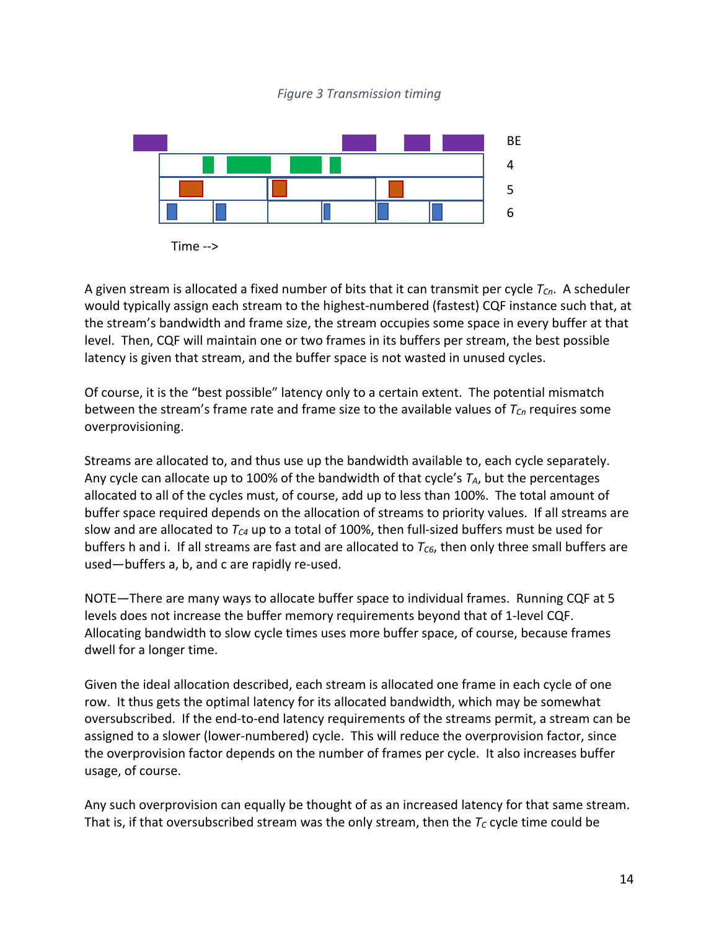

Time -->

A given stream is allocated a fixed number of bits that it can transmit per cycle  $T_{Cn}$ . A scheduler would typically assign each stream to the highest-numbered (fastest) CQF instance such that, at the stream's bandwidth and frame size, the stream occupies some space in every buffer at that level. Then, CQF will maintain one or two frames in its buffers per stream, the best possible latency is given that stream, and the buffer space is not wasted in unused cycles.

Of course, it is the "best possible" latency only to a certain extent. The potential mismatch between the stream's frame rate and frame size to the available values of  $T_{Cn}$  requires some overprovisioning.

Streams are allocated to, and thus use up the bandwidth available to, each cycle separately. Any cycle can allocate up to 100% of the bandwidth of that cycle's  $T_A$ , but the percentages allocated to all of the cycles must, of course, add up to less than 100%. The total amount of buffer space required depends on the allocation of streams to priority values. If all streams are slow and are allocated to  $T_{C4}$  up to a total of 100%, then full-sized buffers must be used for buffers h and i. If all streams are fast and are allocated to  $T_{C6}$ , then only three small buffers are used—buffers a, b, and c are rapidly re-used.

NOTE—There are many ways to allocate buffer space to individual frames. Running CQF at 5 levels does not increase the buffer memory requirements beyond that of 1-level CQF. Allocating bandwidth to slow cycle times uses more buffer space, of course, because frames dwell for a longer time.

Given the ideal allocation described, each stream is allocated one frame in each cycle of one row. It thus gets the optimal latency for its allocated bandwidth, which may be somewhat oversubscribed. If the end-to-end latency requirements of the streams permit, a stream can be assigned to a slower (lower-numbered) cycle. This will reduce the overprovision factor, since the overprovision factor depends on the number of frames per cycle. It also increases buffer usage, of course.

Any such overprovision can equally be thought of as an increased latency for that same stream. That is, if that oversubscribed stream was the only stream, then the  $T_c$  cycle time could be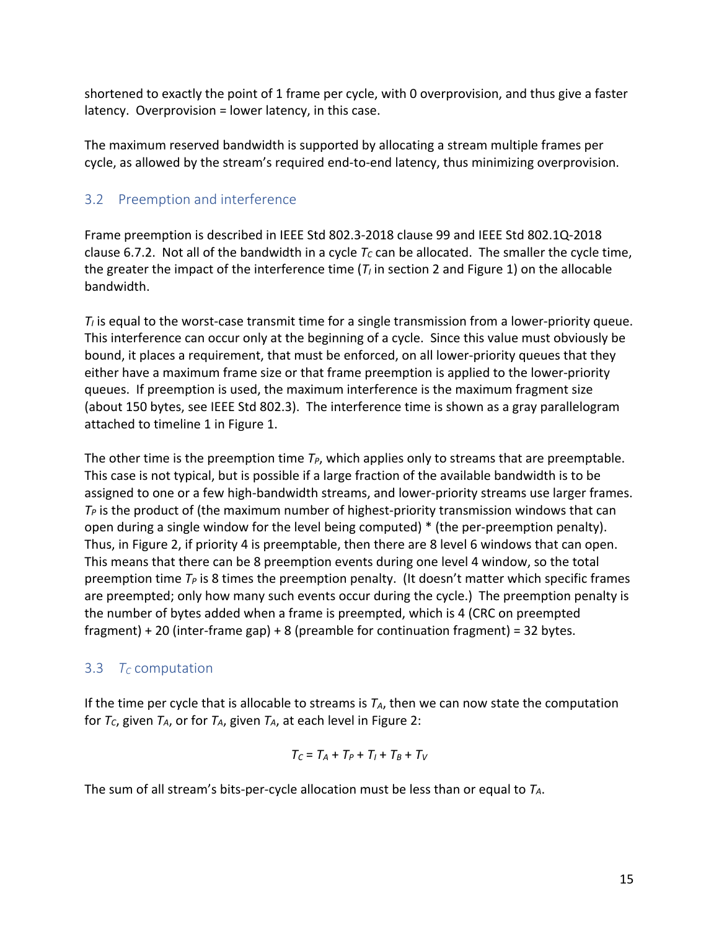shortened to exactly the point of 1 frame per cycle, with 0 overprovision, and thus give a faster latency. Overprovision = lower latency, in this case.

The maximum reserved bandwidth is supported by allocating a stream multiple frames per cycle, as allowed by the stream's required end-to-end latency, thus minimizing overprovision.

# 3.2 Preemption and interference

Frame preemption is described in IEEE Std 802.3-2018 clause 99 and IEEE Std 802.1Q-2018 clause 6.7.2. Not all of the bandwidth in a cycle  $T_c$  can be allocated. The smaller the cycle time, the greater the impact of the interference time  $(T<sub>i</sub>$  in section 2 and Figure 1) on the allocable bandwidth.

 $T<sub>l</sub>$  is equal to the worst-case transmit time for a single transmission from a lower-priority queue. This interference can occur only at the beginning of a cycle. Since this value must obviously be bound, it places a requirement, that must be enforced, on all lower-priority queues that they either have a maximum frame size or that frame preemption is applied to the lower-priority queues. If preemption is used, the maximum interference is the maximum fragment size (about 150 bytes, see IEEE Std 802.3). The interference time is shown as a gray parallelogram attached to timeline 1 in Figure 1.

The other time is the preemption time  $T_P$ , which applies only to streams that are preemptable. This case is not typical, but is possible if a large fraction of the available bandwidth is to be assigned to one or a few high-bandwidth streams, and lower-priority streams use larger frames.  $T_P$  is the product of (the maximum number of highest-priority transmission windows that can open during a single window for the level being computed) \* (the per-preemption penalty). Thus, in Figure 2, if priority 4 is preemptable, then there are 8 level 6 windows that can open. This means that there can be 8 preemption events during one level 4 window, so the total preemption time *TP* is 8 times the preemption penalty. (It doesn't matter which specific frames are preempted; only how many such events occur during the cycle.) The preemption penalty is the number of bytes added when a frame is preempted, which is 4 (CRC on preempted fragment) + 20 (inter-frame gap) + 8 (preamble for continuation fragment) = 32 bytes.

# 3.3  $T_c$  computation

If the time per cycle that is allocable to streams is  $T_A$ , then we can now state the computation for  $T_c$ , given  $T_A$ , or for  $T_A$ , given  $T_A$ , at each level in Figure 2:

$$
T_C = T_A + T_P + T_I + T_B + T_V
$$

The sum of all stream's bits-per-cycle allocation must be less than or equal to *TA*.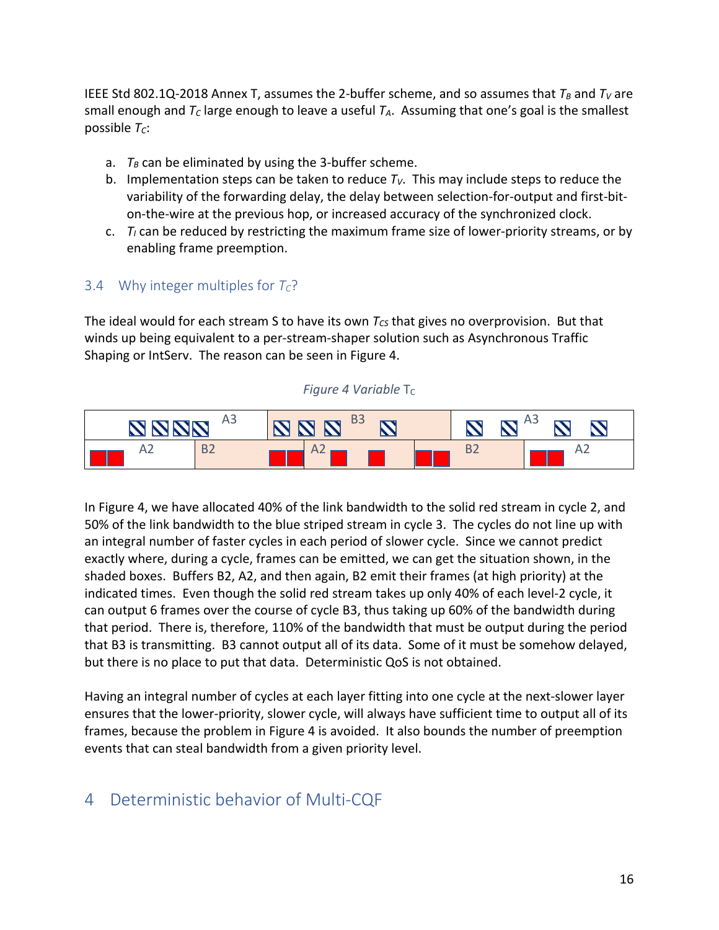IEEE Std 802.1Q-2018 Annex T, assumes the 2-buffer scheme, and so assumes that  $T_B$  and  $T_V$  are small enough and  $T_c$  large enough to leave a useful  $T_A$ . Assuming that one's goal is the smallest possible  $T_c$ :

- a.  $T_B$  can be eliminated by using the 3-buffer scheme.
- b. Implementation steps can be taken to reduce  $T_V$ . This may include steps to reduce the variability of the forwarding delay, the delay between selection-for-output and first-biton-the-wire at the previous hop, or increased accuracy of the synchronized clock.
- c.  $T_I$  can be reduced by restricting the maximum frame size of lower-priority streams, or by enabling frame preemption.

### 3.4 Why integer multiples for  $T_c$ ?

The ideal would for each stream S to have its own  $T_{CS}$  that gives no overprovision. But that winds up being equivalent to a per-stream-shaper solution such as Asynchronous Traffic Shaping or IntServ. The reason can be seen in Figure 4.

*Figure 4 Variable* T<sub>C</sub>



In Figure 4, we have allocated 40% of the link bandwidth to the solid red stream in cycle 2, and 50% of the link bandwidth to the blue striped stream in cycle 3. The cycles do not line up with an integral number of faster cycles in each period of slower cycle. Since we cannot predict exactly where, during a cycle, frames can be emitted, we can get the situation shown, in the shaded boxes. Buffers B2, A2, and then again, B2 emit their frames (at high priority) at the indicated times. Even though the solid red stream takes up only 40% of each level-2 cycle, it can output 6 frames over the course of cycle B3, thus taking up 60% of the bandwidth during that period. There is, therefore, 110% of the bandwidth that must be output during the period that B3 is transmitting. B3 cannot output all of its data. Some of it must be somehow delayed, but there is no place to put that data. Deterministic QoS is not obtained.

Having an integral number of cycles at each layer fitting into one cycle at the next-slower layer ensures that the lower-priority, slower cycle, will always have sufficient time to output all of its frames, because the problem in Figure 4 is avoided. It also bounds the number of preemption events that can steal bandwidth from a given priority level.

# 4 Deterministic behavior of Multi-CQF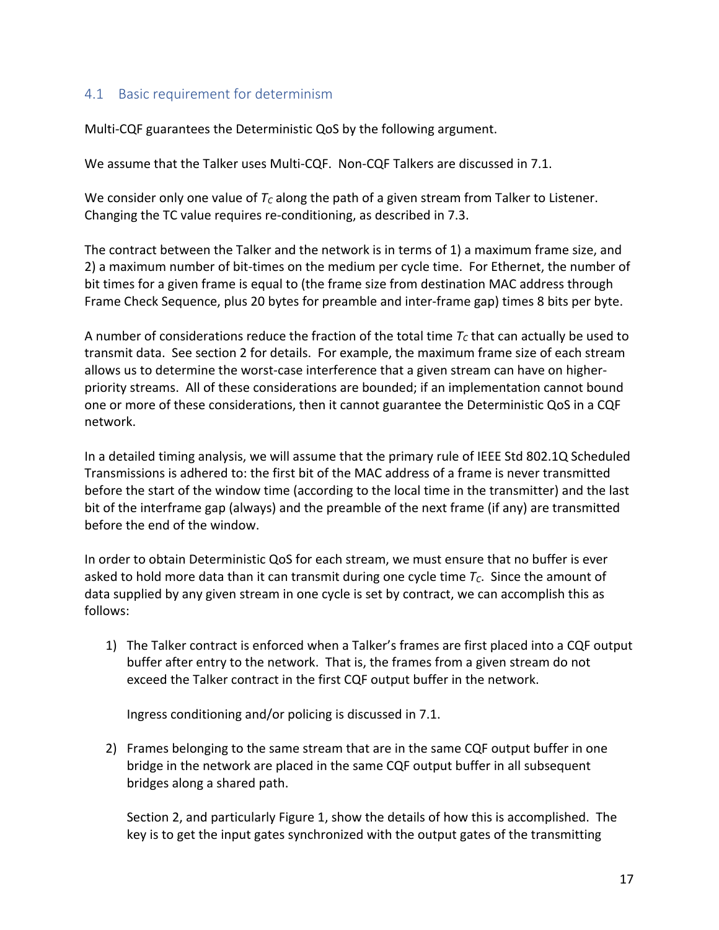### 4.1 Basic requirement for determinism

Multi-CQF guarantees the Deterministic QoS by the following argument.

We assume that the Talker uses Multi-CQF. Non-CQF Talkers are discussed in 7.1.

We consider only one value of  $T_c$  along the path of a given stream from Talker to Listener. Changing the TC value requires re-conditioning, as described in 7.3.

The contract between the Talker and the network is in terms of 1) a maximum frame size, and 2) a maximum number of bit-times on the medium per cycle time. For Ethernet, the number of bit times for a given frame is equal to (the frame size from destination MAC address through Frame Check Sequence, plus 20 bytes for preamble and inter-frame gap) times 8 bits per byte.

A number of considerations reduce the fraction of the total time  $T_c$  that can actually be used to transmit data. See section 2 for details. For example, the maximum frame size of each stream allows us to determine the worst-case interference that a given stream can have on higherpriority streams. All of these considerations are bounded; if an implementation cannot bound one or more of these considerations, then it cannot guarantee the Deterministic QoS in a CQF network.

In a detailed timing analysis, we will assume that the primary rule of IEEE Std 802.1Q Scheduled Transmissions is adhered to: the first bit of the MAC address of a frame is never transmitted before the start of the window time (according to the local time in the transmitter) and the last bit of the interframe gap (always) and the preamble of the next frame (if any) are transmitted before the end of the window.

In order to obtain Deterministic QoS for each stream, we must ensure that no buffer is ever asked to hold more data than it can transmit during one cycle time  $T_c$ . Since the amount of data supplied by any given stream in one cycle is set by contract, we can accomplish this as follows:

1) The Talker contract is enforced when a Talker's frames are first placed into a CQF output buffer after entry to the network. That is, the frames from a given stream do not exceed the Talker contract in the first CQF output buffer in the network.

Ingress conditioning and/or policing is discussed in 7.1.

2) Frames belonging to the same stream that are in the same CQF output buffer in one bridge in the network are placed in the same CQF output buffer in all subsequent bridges along a shared path.

Section 2, and particularly Figure 1, show the details of how this is accomplished. The key is to get the input gates synchronized with the output gates of the transmitting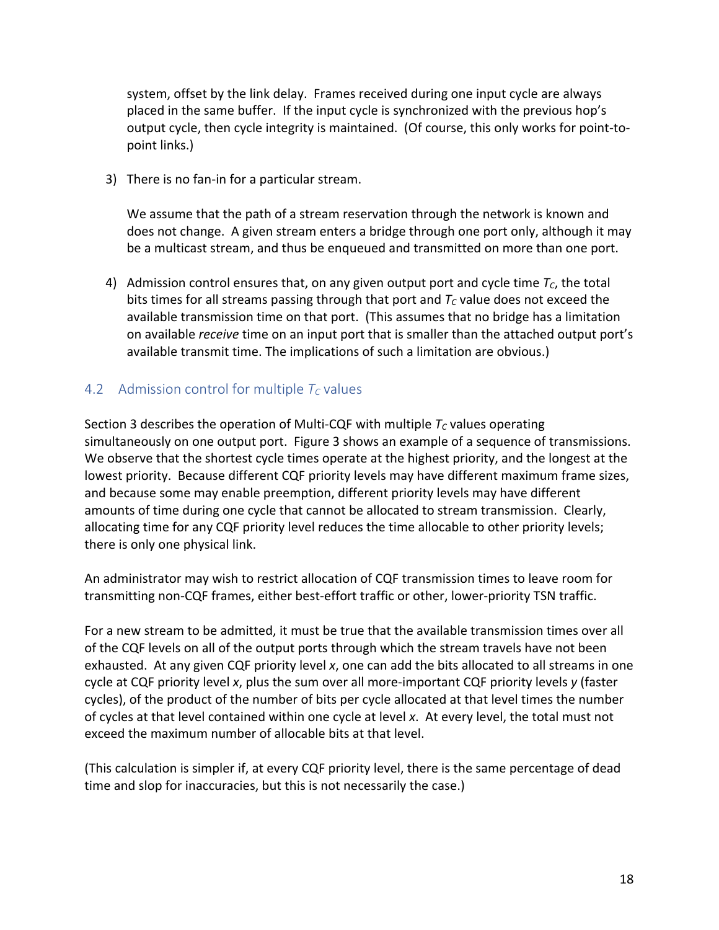system, offset by the link delay. Frames received during one input cycle are always placed in the same buffer. If the input cycle is synchronized with the previous hop's output cycle, then cycle integrity is maintained. (Of course, this only works for point-topoint links.)

3) There is no fan-in for a particular stream.

We assume that the path of a stream reservation through the network is known and does not change. A given stream enters a bridge through one port only, although it may be a multicast stream, and thus be enqueued and transmitted on more than one port.

4) Admission control ensures that, on any given output port and cycle time  $T_c$ , the total bits times for all streams passing through that port and  $T_c$  value does not exceed the available transmission time on that port. (This assumes that no bridge has a limitation on available *receive* time on an input port that is smaller than the attached output port's available transmit time. The implications of such a limitation are obvious.)

#### 4.2 Admission control for multiple  $T_c$  values

Section 3 describes the operation of Multi-CQF with multiple  $T_c$  values operating simultaneously on one output port. Figure 3 shows an example of a sequence of transmissions. We observe that the shortest cycle times operate at the highest priority, and the longest at the lowest priority. Because different CQF priority levels may have different maximum frame sizes, and because some may enable preemption, different priority levels may have different amounts of time during one cycle that cannot be allocated to stream transmission. Clearly, allocating time for any CQF priority level reduces the time allocable to other priority levels; there is only one physical link.

An administrator may wish to restrict allocation of CQF transmission times to leave room for transmitting non-CQF frames, either best-effort traffic or other, lower-priority TSN traffic.

For a new stream to be admitted, it must be true that the available transmission times over all of the CQF levels on all of the output ports through which the stream travels have not been exhausted. At any given CQF priority level *x*, one can add the bits allocated to all streams in one cycle at CQF priority level *x*, plus the sum over all more-important CQF priority levels *y* (faster cycles), of the product of the number of bits per cycle allocated at that level times the number of cycles at that level contained within one cycle at level *x*. At every level, the total must not exceed the maximum number of allocable bits at that level.

(This calculation is simpler if, at every CQF priority level, there is the same percentage of dead time and slop for inaccuracies, but this is not necessarily the case.)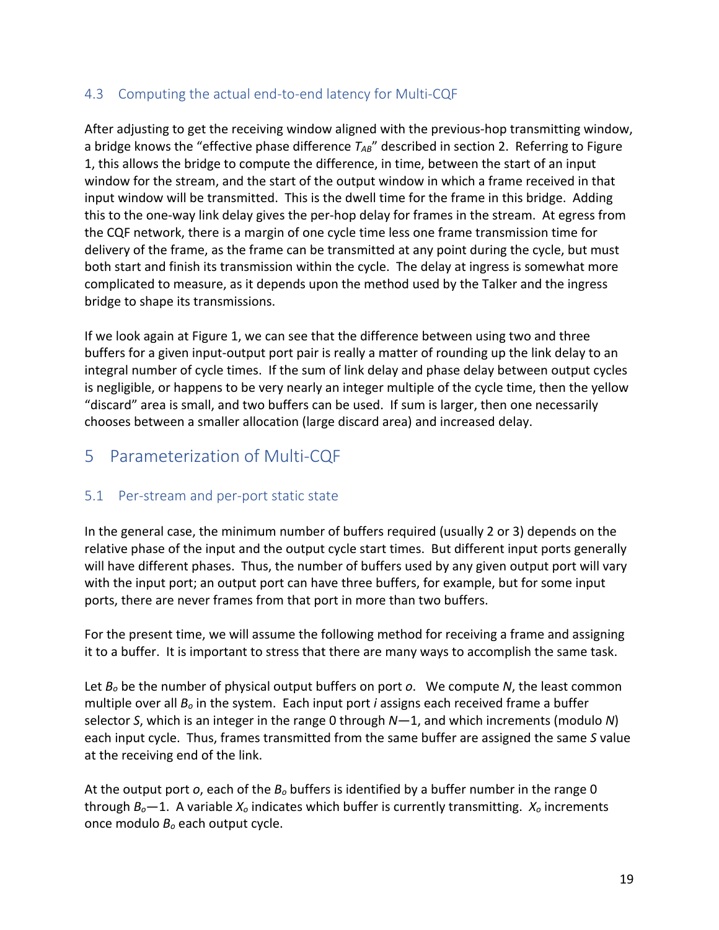### 4.3 Computing the actual end-to-end latency for Multi-CQF

After adjusting to get the receiving window aligned with the previous-hop transmitting window, a bridge knows the "effective phase difference T<sub>AB</sub>" described in section 2. Referring to Figure 1, this allows the bridge to compute the difference, in time, between the start of an input window for the stream, and the start of the output window in which a frame received in that input window will be transmitted. This is the dwell time for the frame in this bridge. Adding this to the one-way link delay gives the per-hop delay for frames in the stream. At egress from the CQF network, there is a margin of one cycle time less one frame transmission time for delivery of the frame, as the frame can be transmitted at any point during the cycle, but must both start and finish its transmission within the cycle. The delay at ingress is somewhat more complicated to measure, as it depends upon the method used by the Talker and the ingress bridge to shape its transmissions.

If we look again at Figure 1, we can see that the difference between using two and three buffers for a given input-output port pair is really a matter of rounding up the link delay to an integral number of cycle times. If the sum of link delay and phase delay between output cycles is negligible, or happens to be very nearly an integer multiple of the cycle time, then the yellow "discard" area is small, and two buffers can be used. If sum is larger, then one necessarily chooses between a smaller allocation (large discard area) and increased delay.

# 5 Parameterization of Multi-CQF

### 5.1 Per-stream and per-port static state

In the general case, the minimum number of buffers required (usually 2 or 3) depends on the relative phase of the input and the output cycle start times. But different input ports generally will have different phases. Thus, the number of buffers used by any given output port will vary with the input port; an output port can have three buffers, for example, but for some input ports, there are never frames from that port in more than two buffers.

For the present time, we will assume the following method for receiving a frame and assigning it to a buffer. It is important to stress that there are many ways to accomplish the same task.

Let *Bo* be the number of physical output buffers on port *o*. We compute *N*, the least common multiple over all *Bo* in the system. Each input port *i* assigns each received frame a buffer selector *S*, which is an integer in the range 0 through *N*—1, and which increments (modulo *N*) each input cycle. Thus, frames transmitted from the same buffer are assigned the same *S* value at the receiving end of the link.

At the output port *o*, each of the *Bo* buffers is identified by a buffer number in the range 0 through *Bo*—1. A variable *Xo* indicates which buffer is currently transmitting. *Xo* increments once modulo *Bo* each output cycle.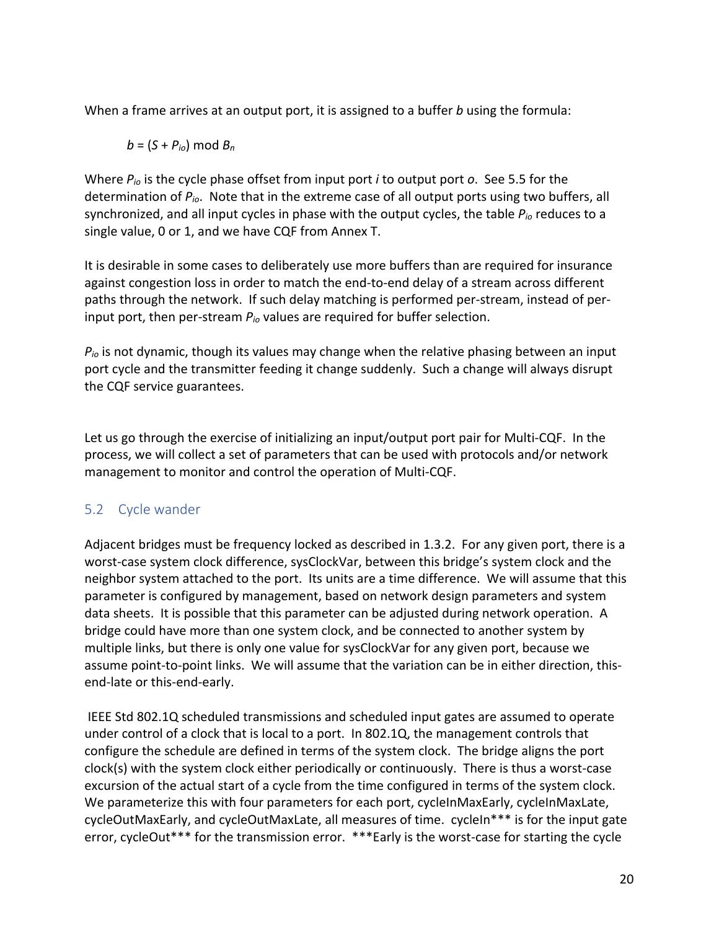When a frame arrives at an output port, it is assigned to a buffer *b* using the formula:

*b* = (*S* + *Pio*) mod *Bn*

Where *Pio* is the cycle phase offset from input port *i* to output port *o*. See 5.5 for the determination of *Pio*. Note that in the extreme case of all output ports using two buffers, all synchronized, and all input cycles in phase with the output cycles, the table *Pio* reduces to a single value, 0 or 1, and we have CQF from Annex T.

It is desirable in some cases to deliberately use more buffers than are required for insurance against congestion loss in order to match the end-to-end delay of a stream across different paths through the network. If such delay matching is performed per-stream, instead of perinput port, then per-stream *Pio* values are required for buffer selection.

*Pio* is not dynamic, though its values may change when the relative phasing between an input port cycle and the transmitter feeding it change suddenly. Such a change will always disrupt the CQF service guarantees.

Let us go through the exercise of initializing an input/output port pair for Multi-CQF. In the process, we will collect a set of parameters that can be used with protocols and/or network management to monitor and control the operation of Multi-CQF.

# 5.2 Cycle wander

Adjacent bridges must be frequency locked as described in 1.3.2. For any given port, there is a worst-case system clock difference, sysClockVar, between this bridge's system clock and the neighbor system attached to the port. Its units are a time difference. We will assume that this parameter is configured by management, based on network design parameters and system data sheets. It is possible that this parameter can be adjusted during network operation. A bridge could have more than one system clock, and be connected to another system by multiple links, but there is only one value for sysClockVar for any given port, because we assume point-to-point links. We will assume that the variation can be in either direction, thisend-late or this-end-early.

IEEE Std 802.1Q scheduled transmissions and scheduled input gates are assumed to operate under control of a clock that is local to a port. In 802.1Q, the management controls that configure the schedule are defined in terms of the system clock. The bridge aligns the port clock(s) with the system clock either periodically or continuously. There is thus a worst-case excursion of the actual start of a cycle from the time configured in terms of the system clock. We parameterize this with four parameters for each port, cycleInMaxEarly, cycleInMaxLate, cycleOutMaxEarly, and cycleOutMaxLate, all measures of time. cycleIn\*\*\* is for the input gate error, cycleOut\*\*\* for the transmission error. \*\*\*Early is the worst-case for starting the cycle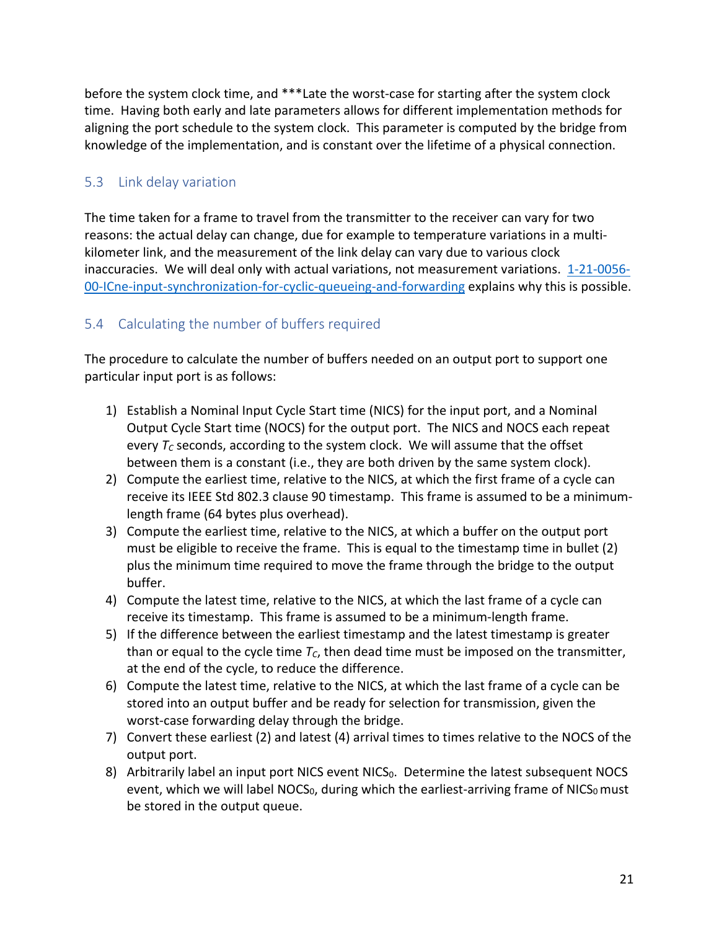before the system clock time, and \*\*\*Late the worst-case for starting after the system clock time. Having both early and late parameters allows for different implementation methods for aligning the port schedule to the system clock. This parameter is computed by the bridge from knowledge of the implementation, and is constant over the lifetime of a physical connection.

### 5.3 Link delay variation

The time taken for a frame to travel from the transmitter to the receiver can vary for two reasons: the actual delay can change, due for example to temperature variations in a multikilometer link, and the measurement of the link delay can vary due to various clock inaccuracies. We will deal only with actual variations, not measurement variations. 1-21-0056- 00-ICne-input-synchronization-for-cyclic-queueing-and-forwarding explains why this is possible.

# 5.4 Calculating the number of buffers required

The procedure to calculate the number of buffers needed on an output port to support one particular input port is as follows:

- 1) Establish a Nominal Input Cycle Start time (NICS) for the input port, and a Nominal Output Cycle Start time (NOCS) for the output port. The NICS and NOCS each repeat every  $T_c$  seconds, according to the system clock. We will assume that the offset between them is a constant (i.e., they are both driven by the same system clock).
- 2) Compute the earliest time, relative to the NICS, at which the first frame of a cycle can receive its IEEE Std 802.3 clause 90 timestamp. This frame is assumed to be a minimumlength frame (64 bytes plus overhead).
- 3) Compute the earliest time, relative to the NICS, at which a buffer on the output port must be eligible to receive the frame. This is equal to the timestamp time in bullet (2) plus the minimum time required to move the frame through the bridge to the output buffer.
- 4) Compute the latest time, relative to the NICS, at which the last frame of a cycle can receive its timestamp. This frame is assumed to be a minimum-length frame.
- 5) If the difference between the earliest timestamp and the latest timestamp is greater than or equal to the cycle time  $T_c$ , then dead time must be imposed on the transmitter, at the end of the cycle, to reduce the difference.
- 6) Compute the latest time, relative to the NICS, at which the last frame of a cycle can be stored into an output buffer and be ready for selection for transmission, given the worst-case forwarding delay through the bridge.
- 7) Convert these earliest (2) and latest (4) arrival times to times relative to the NOCS of the output port.
- 8) Arbitrarily label an input port NICS event NICS<sub>0</sub>. Determine the latest subsequent NOCS event, which we will label NOCS<sub>0</sub>, during which the earliest-arriving frame of NICS<sub>0</sub> must be stored in the output queue.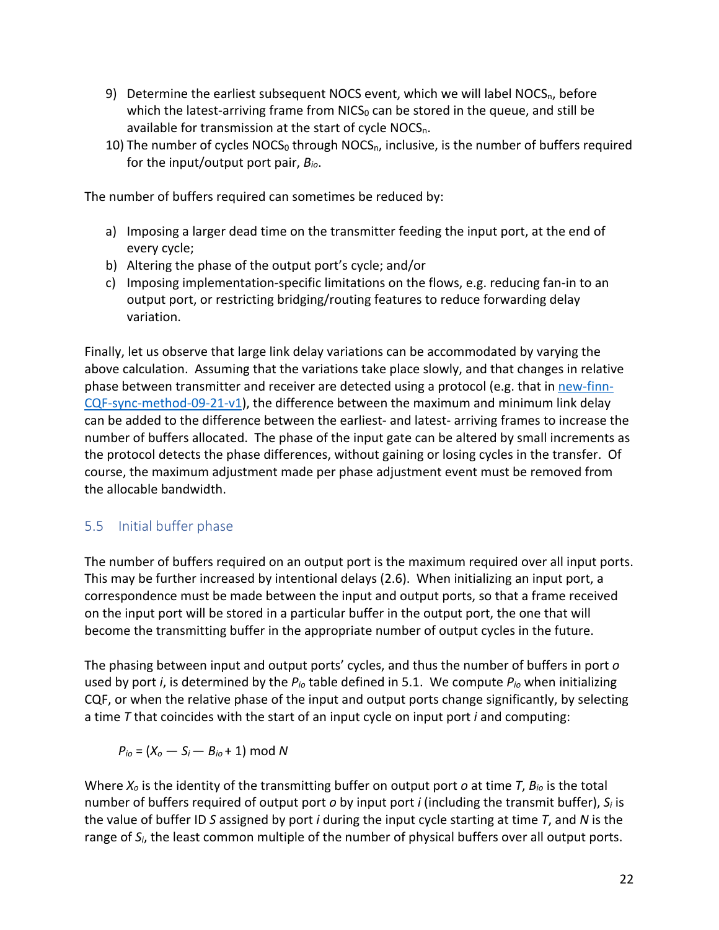- 9) Determine the earliest subsequent NOCS event, which we will label NOCS<sub>n</sub>, before which the latest-arriving frame from  $NICS<sub>0</sub>$  can be stored in the queue, and still be available for transmission at the start of cycle NOCS<sub>n</sub>.
- 10) The number of cycles  $NOCS<sub>0</sub>$  through  $NOCS<sub>n</sub>$ , inclusive, is the number of buffers required for the input/output port pair, *Bio*.

The number of buffers required can sometimes be reduced by:

- a) Imposing a larger dead time on the transmitter feeding the input port, at the end of every cycle;
- b) Altering the phase of the output port's cycle; and/or
- c) Imposing implementation-specific limitations on the flows, e.g. reducing fan-in to an output port, or restricting bridging/routing features to reduce forwarding delay variation.

Finally, let us observe that large link delay variations can be accommodated by varying the above calculation. Assuming that the variations take place slowly, and that changes in relative phase between transmitter and receiver are detected using a protocol (e.g. that in new-finn-CQF-sync-method-09-21-v1), the difference between the maximum and minimum link delay can be added to the difference between the earliest- and latest- arriving frames to increase the number of buffers allocated. The phase of the input gate can be altered by small increments as the protocol detects the phase differences, without gaining or losing cycles in the transfer. Of course, the maximum adjustment made per phase adjustment event must be removed from the allocable bandwidth.

### 5.5 Initial buffer phase

The number of buffers required on an output port is the maximum required over all input ports. This may be further increased by intentional delays (2.6). When initializing an input port, a correspondence must be made between the input and output ports, so that a frame received on the input port will be stored in a particular buffer in the output port, the one that will become the transmitting buffer in the appropriate number of output cycles in the future.

The phasing between input and output ports' cycles, and thus the number of buffers in port *o* used by port *i*, is determined by the *Pio* table defined in 5.1. We compute *Pio* when initializing CQF, or when the relative phase of the input and output ports change significantly, by selecting a time *T* that coincides with the start of an input cycle on input port *i* and computing:

 $P_{io} = (X_o - S_i - B_{io} + 1) \text{ mod } N$ 

Where *Xo* is the identity of the transmitting buffer on output port *o* at time *T*, *Bio* is the total number of buffers required of output port *o* by input port *i* (including the transmit buffer), *Si* is the value of buffer ID *S* assigned by port *i* during the input cycle starting at time *T*, and *N* is the range of *Si*, the least common multiple of the number of physical buffers over all output ports.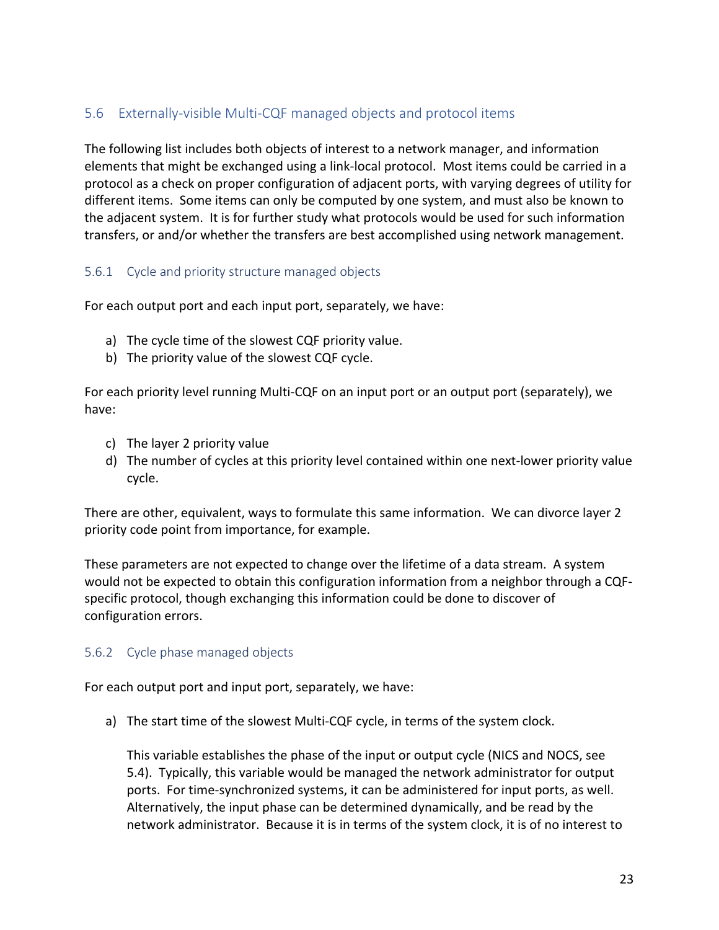# 5.6 Externally-visible Multi-CQF managed objects and protocol items

The following list includes both objects of interest to a network manager, and information elements that might be exchanged using a link-local protocol. Most items could be carried in a protocol as a check on proper configuration of adjacent ports, with varying degrees of utility for different items. Some items can only be computed by one system, and must also be known to the adjacent system. It is for further study what protocols would be used for such information transfers, or and/or whether the transfers are best accomplished using network management.

#### 5.6.1 Cycle and priority structure managed objects

For each output port and each input port, separately, we have:

- a) The cycle time of the slowest CQF priority value.
- b) The priority value of the slowest CQF cycle.

For each priority level running Multi-CQF on an input port or an output port (separately), we have:

- c) The layer 2 priority value
- d) The number of cycles at this priority level contained within one next-lower priority value cycle.

There are other, equivalent, ways to formulate this same information. We can divorce layer 2 priority code point from importance, for example.

These parameters are not expected to change over the lifetime of a data stream. A system would not be expected to obtain this configuration information from a neighbor through a CQFspecific protocol, though exchanging this information could be done to discover of configuration errors.

#### 5.6.2 Cycle phase managed objects

For each output port and input port, separately, we have:

a) The start time of the slowest Multi-CQF cycle, in terms of the system clock.

This variable establishes the phase of the input or output cycle (NICS and NOCS, see 5.4). Typically, this variable would be managed the network administrator for output ports. For time-synchronized systems, it can be administered for input ports, as well. Alternatively, the input phase can be determined dynamically, and be read by the network administrator. Because it is in terms of the system clock, it is of no interest to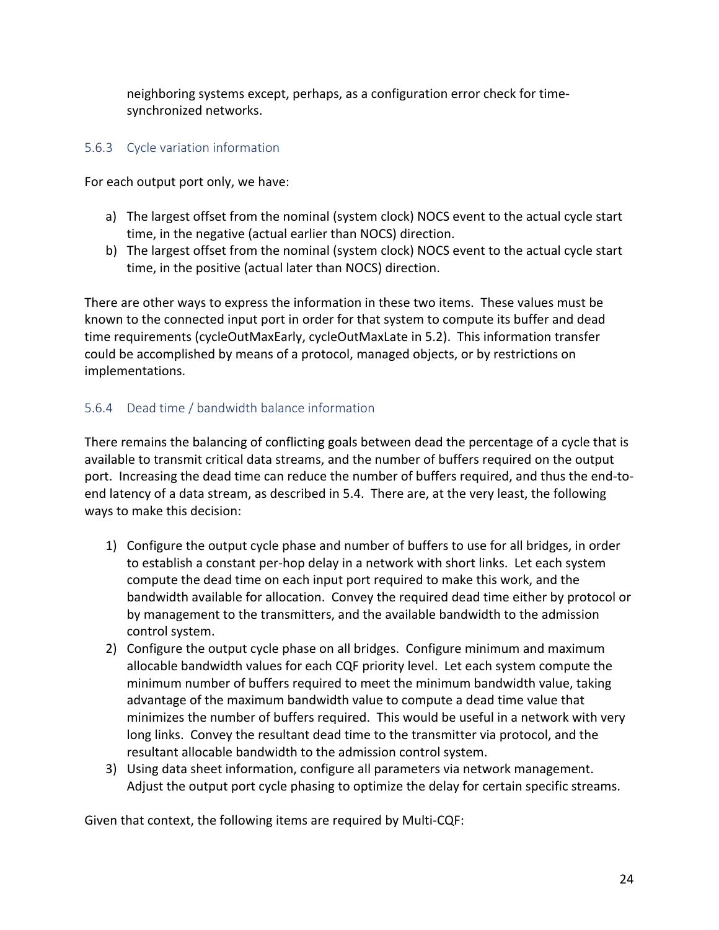neighboring systems except, perhaps, as a configuration error check for timesynchronized networks.

#### 5.6.3 Cycle variation information

For each output port only, we have:

- a) The largest offset from the nominal (system clock) NOCS event to the actual cycle start time, in the negative (actual earlier than NOCS) direction.
- b) The largest offset from the nominal (system clock) NOCS event to the actual cycle start time, in the positive (actual later than NOCS) direction.

There are other ways to express the information in these two items. These values must be known to the connected input port in order for that system to compute its buffer and dead time requirements (cycleOutMaxEarly, cycleOutMaxLate in 5.2). This information transfer could be accomplished by means of a protocol, managed objects, or by restrictions on implementations.

### 5.6.4 Dead time / bandwidth balance information

There remains the balancing of conflicting goals between dead the percentage of a cycle that is available to transmit critical data streams, and the number of buffers required on the output port. Increasing the dead time can reduce the number of buffers required, and thus the end-toend latency of a data stream, as described in 5.4. There are, at the very least, the following ways to make this decision:

- 1) Configure the output cycle phase and number of buffers to use for all bridges, in order to establish a constant per-hop delay in a network with short links. Let each system compute the dead time on each input port required to make this work, and the bandwidth available for allocation. Convey the required dead time either by protocol or by management to the transmitters, and the available bandwidth to the admission control system.
- 2) Configure the output cycle phase on all bridges. Configure minimum and maximum allocable bandwidth values for each CQF priority level. Let each system compute the minimum number of buffers required to meet the minimum bandwidth value, taking advantage of the maximum bandwidth value to compute a dead time value that minimizes the number of buffers required. This would be useful in a network with very long links. Convey the resultant dead time to the transmitter via protocol, and the resultant allocable bandwidth to the admission control system.
- 3) Using data sheet information, configure all parameters via network management. Adjust the output port cycle phasing to optimize the delay for certain specific streams.

Given that context, the following items are required by Multi-CQF: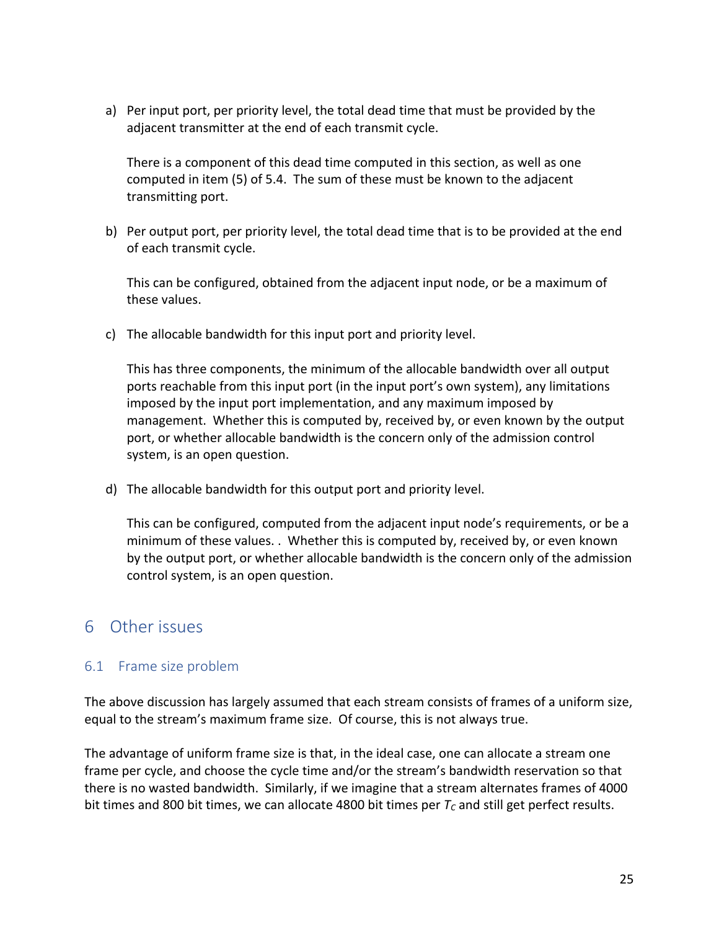a) Per input port, per priority level, the total dead time that must be provided by the adjacent transmitter at the end of each transmit cycle.

There is a component of this dead time computed in this section, as well as one computed in item (5) of 5.4. The sum of these must be known to the adjacent transmitting port.

b) Per output port, per priority level, the total dead time that is to be provided at the end of each transmit cycle.

This can be configured, obtained from the adjacent input node, or be a maximum of these values.

c) The allocable bandwidth for this input port and priority level.

This has three components, the minimum of the allocable bandwidth over all output ports reachable from this input port (in the input port's own system), any limitations imposed by the input port implementation, and any maximum imposed by management. Whether this is computed by, received by, or even known by the output port, or whether allocable bandwidth is the concern only of the admission control system, is an open question.

d) The allocable bandwidth for this output port and priority level.

This can be configured, computed from the adjacent input node's requirements, or be a minimum of these values. . Whether this is computed by, received by, or even known by the output port, or whether allocable bandwidth is the concern only of the admission control system, is an open question.

# 6 Other issues

### 6.1 Frame size problem

The above discussion has largely assumed that each stream consists of frames of a uniform size, equal to the stream's maximum frame size. Of course, this is not always true.

The advantage of uniform frame size is that, in the ideal case, one can allocate a stream one frame per cycle, and choose the cycle time and/or the stream's bandwidth reservation so that there is no wasted bandwidth. Similarly, if we imagine that a stream alternates frames of 4000 bit times and 800 bit times, we can allocate 4800 bit times per  $T_c$  and still get perfect results.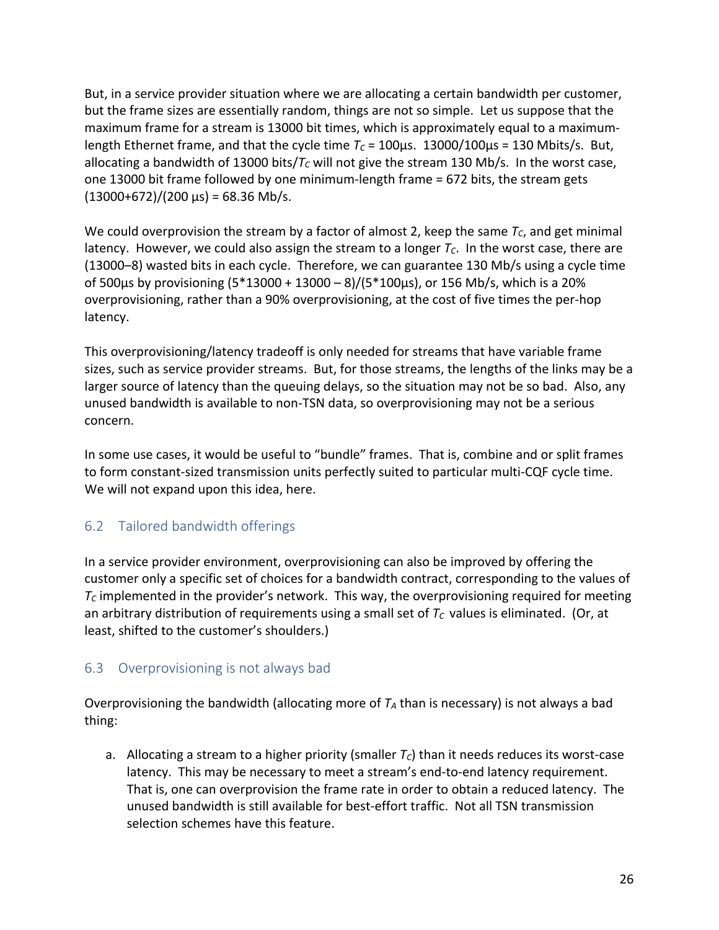But, in a service provider situation where we are allocating a certain bandwidth per customer, but the frame sizes are essentially random, things are not so simple. Let us suppose that the maximum frame for a stream is 13000 bit times, which is approximately equal to a maximumlength Ethernet frame, and that the cycle time  $T_c = 100 \mu s$ . 13000/100 $\mu s = 130$  Mbits/s. But, allocating a bandwidth of 13000 bits/ $T_c$  will not give the stream 130 Mb/s. In the worst case, one 13000 bit frame followed by one minimum-length frame = 672 bits, the stream gets  $(13000+672)/(200 \text{ \mu s}) = 68.36 \text{ Mb/s}.$ 

We could overprovision the stream by a factor of almost 2, keep the same  $T_c$ , and get minimal latency. However, we could also assign the stream to a longer  $T_c$ . In the worst case, there are (13000–8) wasted bits in each cycle. Therefore, we can guarantee 130 Mb/s using a cycle time of 500µs by provisioning (5\*13000 + 13000 – 8)/(5\*100µs), or 156 Mb/s, which is a 20% overprovisioning, rather than a 90% overprovisioning, at the cost of five times the per-hop latency.

This overprovisioning/latency tradeoff is only needed for streams that have variable frame sizes, such as service provider streams. But, for those streams, the lengths of the links may be a larger source of latency than the queuing delays, so the situation may not be so bad. Also, any unused bandwidth is available to non-TSN data, so overprovisioning may not be a serious concern.

In some use cases, it would be useful to "bundle" frames. That is, combine and or split frames to form constant-sized transmission units perfectly suited to particular multi-CQF cycle time. We will not expand upon this idea, here.

# 6.2 Tailored bandwidth offerings

In a service provider environment, overprovisioning can also be improved by offering the customer only a specific set of choices for a bandwidth contract, corresponding to the values of  $T_c$  implemented in the provider's network. This way, the overprovisioning required for meeting an arbitrary distribution of requirements using a small set of  $T_c$  values is eliminated. (Or, at least, shifted to the customer's shoulders.)

# 6.3 Overprovisioning is not always bad

Overprovisioning the bandwidth (allocating more of  $T_A$  than is necessary) is not always a bad thing:

a. Allocating a stream to a higher priority (smaller  $T_c$ ) than it needs reduces its worst-case latency. This may be necessary to meet a stream's end-to-end latency requirement. That is, one can overprovision the frame rate in order to obtain a reduced latency. The unused bandwidth is still available for best-effort traffic. Not all TSN transmission selection schemes have this feature.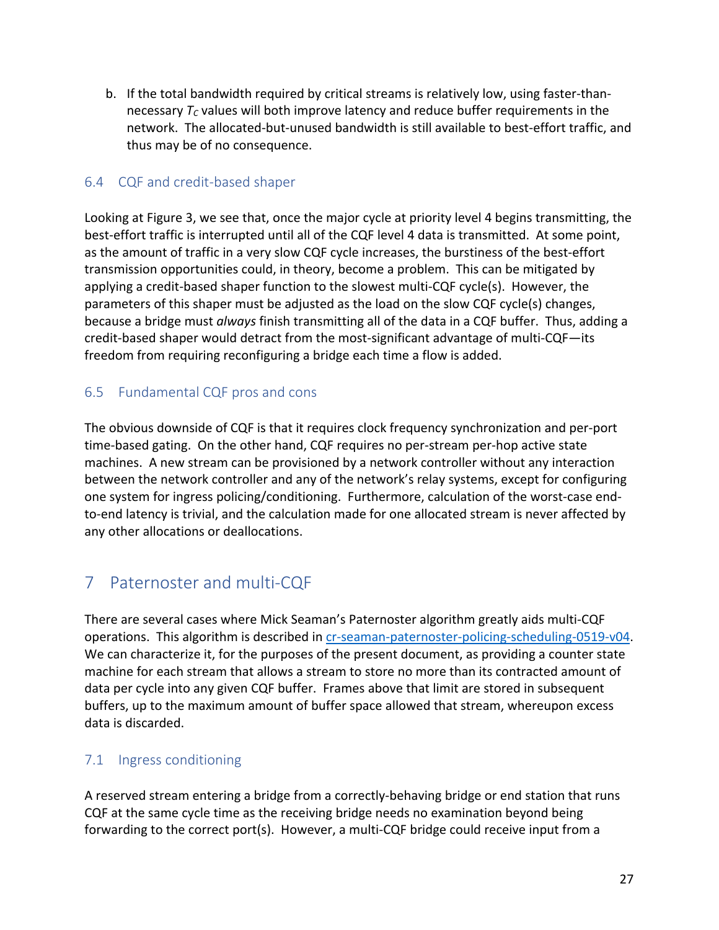b. If the total bandwidth required by critical streams is relatively low, using faster-thannecessary  $T_c$  values will both improve latency and reduce buffer requirements in the network. The allocated-but-unused bandwidth is still available to best-effort traffic, and thus may be of no consequence.

### 6.4 CQF and credit-based shaper

Looking at Figure 3, we see that, once the major cycle at priority level 4 begins transmitting, the best-effort traffic is interrupted until all of the CQF level 4 data is transmitted. At some point, as the amount of traffic in a very slow CQF cycle increases, the burstiness of the best-effort transmission opportunities could, in theory, become a problem. This can be mitigated by applying a credit-based shaper function to the slowest multi-CQF cycle(s). However, the parameters of this shaper must be adjusted as the load on the slow CQF cycle(s) changes, because a bridge must *always* finish transmitting all of the data in a CQF buffer. Thus, adding a credit-based shaper would detract from the most-significant advantage of multi-CQF—its freedom from requiring reconfiguring a bridge each time a flow is added.

### 6.5 Fundamental CQF pros and cons

The obvious downside of CQF is that it requires clock frequency synchronization and per-port time-based gating. On the other hand, CQF requires no per-stream per-hop active state machines. A new stream can be provisioned by a network controller without any interaction between the network controller and any of the network's relay systems, except for configuring one system for ingress policing/conditioning. Furthermore, calculation of the worst-case endto-end latency is trivial, and the calculation made for one allocated stream is never affected by any other allocations or deallocations.

# 7 Paternoster and multi-CQF

There are several cases where Mick Seaman's Paternoster algorithm greatly aids multi-CQF operations. This algorithm is described in cr-seaman-paternoster-policing-scheduling-0519-v04. We can characterize it, for the purposes of the present document, as providing a counter state machine for each stream that allows a stream to store no more than its contracted amount of data per cycle into any given CQF buffer. Frames above that limit are stored in subsequent buffers, up to the maximum amount of buffer space allowed that stream, whereupon excess data is discarded.

### 7.1 Ingress conditioning

A reserved stream entering a bridge from a correctly-behaving bridge or end station that runs CQF at the same cycle time as the receiving bridge needs no examination beyond being forwarding to the correct port(s). However, a multi-CQF bridge could receive input from a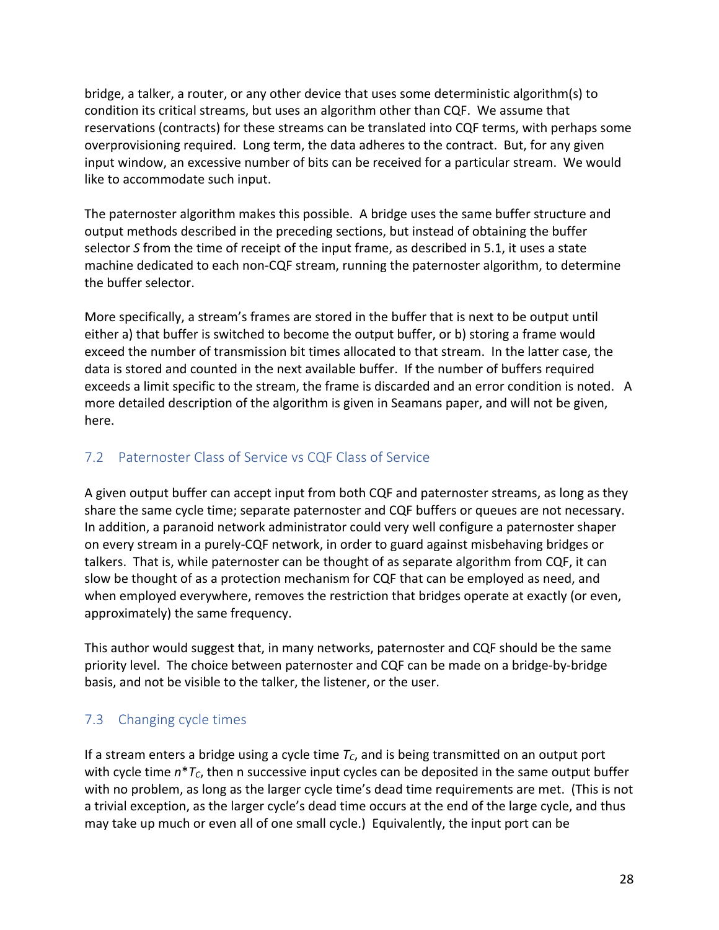bridge, a talker, a router, or any other device that uses some deterministic algorithm(s) to condition its critical streams, but uses an algorithm other than CQF. We assume that reservations (contracts) for these streams can be translated into CQF terms, with perhaps some overprovisioning required. Long term, the data adheres to the contract. But, for any given input window, an excessive number of bits can be received for a particular stream. We would like to accommodate such input.

The paternoster algorithm makes this possible. A bridge uses the same buffer structure and output methods described in the preceding sections, but instead of obtaining the buffer selector *S* from the time of receipt of the input frame, as described in 5.1, it uses a state machine dedicated to each non-CQF stream, running the paternoster algorithm, to determine the buffer selector.

More specifically, a stream's frames are stored in the buffer that is next to be output until either a) that buffer is switched to become the output buffer, or b) storing a frame would exceed the number of transmission bit times allocated to that stream. In the latter case, the data is stored and counted in the next available buffer. If the number of buffers required exceeds a limit specific to the stream, the frame is discarded and an error condition is noted. A more detailed description of the algorithm is given in Seamans paper, and will not be given, here.

# 7.2 Paternoster Class of Service vs CQF Class of Service

A given output buffer can accept input from both CQF and paternoster streams, as long as they share the same cycle time; separate paternoster and CQF buffers or queues are not necessary. In addition, a paranoid network administrator could very well configure a paternoster shaper on every stream in a purely-CQF network, in order to guard against misbehaving bridges or talkers. That is, while paternoster can be thought of as separate algorithm from CQF, it can slow be thought of as a protection mechanism for CQF that can be employed as need, and when employed everywhere, removes the restriction that bridges operate at exactly (or even, approximately) the same frequency.

This author would suggest that, in many networks, paternoster and CQF should be the same priority level. The choice between paternoster and CQF can be made on a bridge-by-bridge basis, and not be visible to the talker, the listener, or the user.

# 7.3 Changing cycle times

If a stream enters a bridge using a cycle time  $T_c$ , and is being transmitted on an output port with cycle time  $n^*T_c$ , then n successive input cycles can be deposited in the same output buffer with no problem, as long as the larger cycle time's dead time requirements are met. (This is not a trivial exception, as the larger cycle's dead time occurs at the end of the large cycle, and thus may take up much or even all of one small cycle.) Equivalently, the input port can be